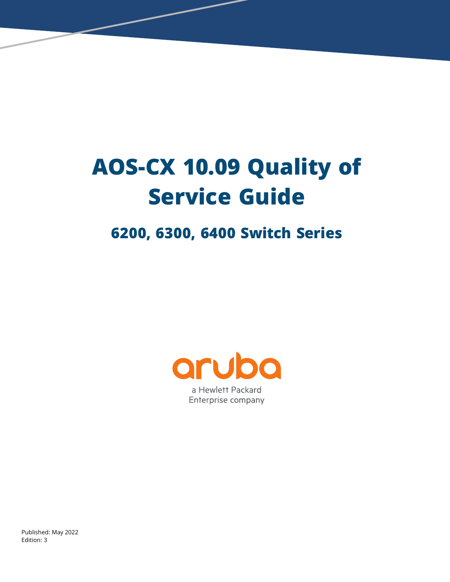# **AOS-CX 10.09 Quality of Service Guide**

# **6200, 6300, 6400 Switch Series**



a Hewlett Packard Enterprise company

Published: May 2022 Edition: 3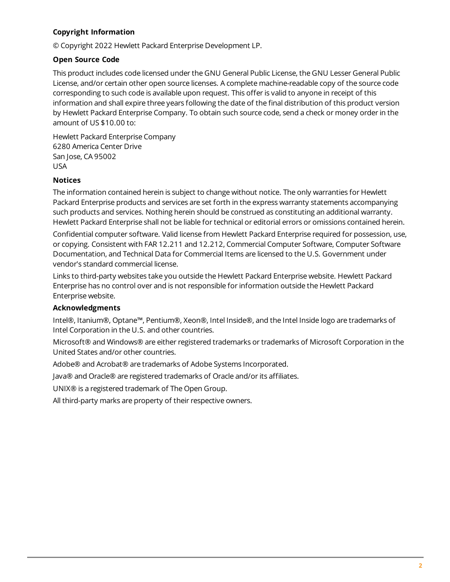#### **Copyright Information**

© Copyright 2022 Hewlett Packard Enterprise Development LP.

#### **Open Source Code**

This product includes code licensed under the GNU General Public License, the GNU Lesser General Public License, and/or certain other open source licenses. A complete machine-readable copy of the source code corresponding to such code is available upon request. This offer is valid to anyone in receipt of this information and shall expire three years following the date of the final distribution of this product version by Hewlett Packard Enterprise Company. To obtain such source code, send a check or money order in the amount of US \$10.00 to:

Hewlett Packard Enterprise Company 6280 America Center Drive San Jose, CA 95002 USA

#### **Notices**

The information contained herein is subject to change without notice. The only warranties for Hewlett Packard Enterprise products and services are set forth in the express warranty statements accompanying such products and services. Nothing herein should be construed as constituting an additional warranty. Hewlett Packard Enterprise shall not be liable for technical or editorial errors or omissions contained herein.

Confidential computer software. Valid license from Hewlett Packard Enterprise required for possession, use, or copying. Consistent with FAR 12.211 and 12.212, Commercial Computer Software, Computer Software Documentation, and Technical Data for Commercial Items are licensed to the U.S. Government under vendor's standard commercial license.

Links to third-party websites take you outside the Hewlett Packard Enterprise website. Hewlett Packard Enterprise has no control over and is not responsible for information outside the Hewlett Packard Enterprise website.

#### **Acknowledgments**

Intel®, Itanium®, Optane™, Pentium®, Xeon®, Intel Inside®, and the Intel Inside logo are trademarks of Intel Corporation in the U.S. and other countries.

Microsoft® and Windows® are either registered trademarks or trademarks of Microsoft Corporation in the United States and/or other countries.

Adobe® and Acrobat® are trademarks of Adobe Systems Incorporated.

Java® and Oracle® are registered trademarks of Oracle and/or its affiliates.

UNIX® is a registered trademark of The Open Group.

All third-party marks are property of their respective owners.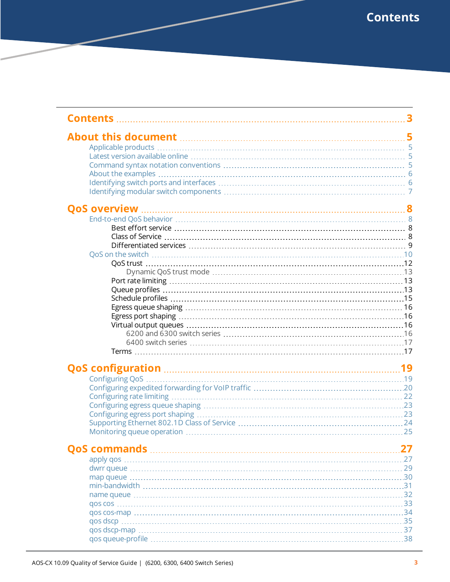<span id="page-2-0"></span>

| About this document <b>manufactures</b> 5 |      |
|-------------------------------------------|------|
|                                           |      |
|                                           |      |
|                                           |      |
|                                           |      |
|                                           |      |
|                                           |      |
|                                           |      |
|                                           |      |
|                                           |      |
|                                           |      |
|                                           |      |
|                                           |      |
|                                           |      |
|                                           |      |
|                                           |      |
|                                           |      |
|                                           |      |
|                                           |      |
|                                           |      |
|                                           |      |
|                                           |      |
|                                           |      |
|                                           |      |
|                                           |      |
|                                           |      |
|                                           |      |
|                                           |      |
|                                           |      |
|                                           |      |
|                                           |      |
|                                           |      |
|                                           |      |
|                                           |      |
|                                           |      |
|                                           |      |
|                                           |      |
|                                           |      |
|                                           |      |
|                                           | . 33 |
|                                           |      |
|                                           | . 34 |
|                                           |      |
|                                           | . 37 |
|                                           |      |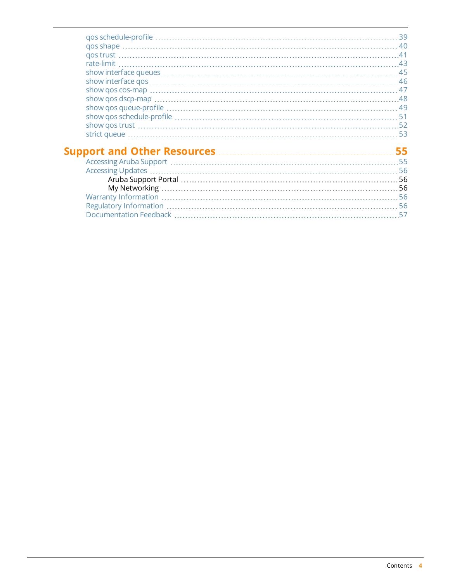| 39  |
|-----|
|     |
|     |
|     |
|     |
|     |
|     |
|     |
|     |
|     |
|     |
|     |
|     |
| 55  |
|     |
|     |
|     |
|     |
|     |
| -56 |
| 57  |
|     |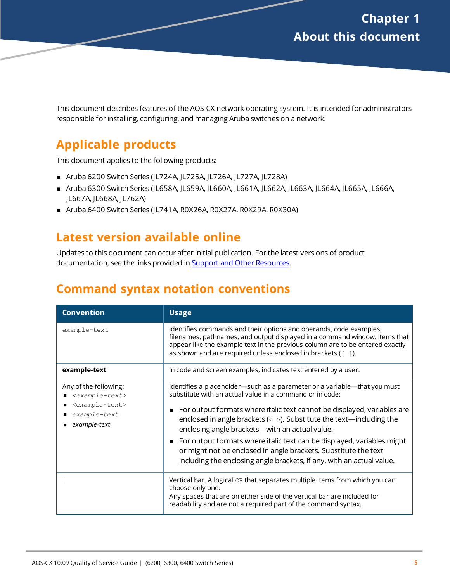<span id="page-4-0"></span>This document describes features of the AOS-CX network operating system. It is intended for administrators responsible for installing, configuring, and managing Aruba switches on a network.

# <span id="page-4-1"></span>**Applicable products**

This document applies to the following products:

- <sup>n</sup> Aruba 6200 Switch Series (JL724A, JL725A, JL726A, JL727A, JL728A)
- <sup>n</sup> Aruba 6300 Switch Series (JL658A, JL659A, JL660A, JL661A, JL662A, JL663A, JL664A, JL665A, JL666A, JL667A, JL668A, JL762A)
- Aruba 6400 Switch Series (JL741A, R0X26A, R0X27A, R0X29A, R0X30A)

# <span id="page-4-2"></span>**Latest version available online**

Updates to this document can occur after initial publication. For the latest versions of product documentation, see the links provided in Support and Other [Resources.](#page-54-0)

# <span id="page-4-3"></span>**Command syntax notation conventions**

| <b>Convention</b>                                                                                             | <b>Usage</b>                                                                                                                                                                                                                                                                                                                                                                                                                                                                                                                                                                   |
|---------------------------------------------------------------------------------------------------------------|--------------------------------------------------------------------------------------------------------------------------------------------------------------------------------------------------------------------------------------------------------------------------------------------------------------------------------------------------------------------------------------------------------------------------------------------------------------------------------------------------------------------------------------------------------------------------------|
| example-text                                                                                                  | Identifies commands and their options and operands, code examples,<br>filenames, pathnames, and output displayed in a command window. Items that<br>appear like the example text in the previous column are to be entered exactly<br>as shown and are required unless enclosed in brackets $($ [ $)$ ]).                                                                                                                                                                                                                                                                       |
| example-text                                                                                                  | In code and screen examples, indicates text entered by a user.                                                                                                                                                                                                                                                                                                                                                                                                                                                                                                                 |
| Any of the following:<br>$<$ example-text><br><example-text><br/>example-text<br/>example-text</example-text> | Identifies a placeholder-such as a parameter or a variable-that you must<br>substitute with an actual value in a command or in code:<br>For output formats where italic text cannot be displayed, variables are<br>enclosed in angle brackets ( $\langle \rangle$ ). Substitute the text—including the<br>enclosing angle brackets—with an actual value.<br>For output formats where italic text can be displayed, variables might<br>or might not be enclosed in angle brackets. Substitute the text<br>including the enclosing angle brackets, if any, with an actual value. |
|                                                                                                               | Vertical bar. A logical OR that separates multiple items from which you can<br>choose only one.<br>Any spaces that are on either side of the vertical bar are included for<br>readability and are not a required part of the command syntax.                                                                                                                                                                                                                                                                                                                                   |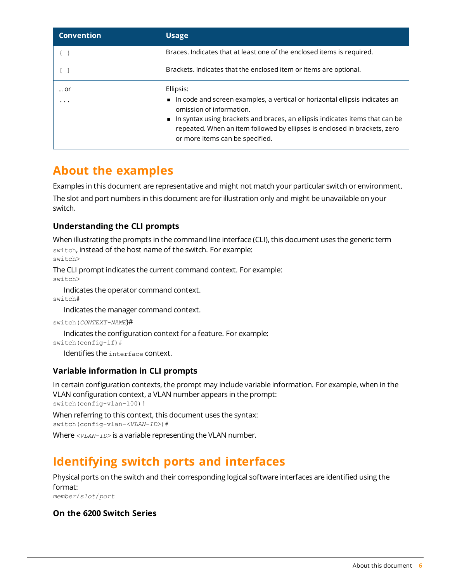| <b>Convention</b> | <b>Usage</b>                                                                                                                                                                                                                                                                                                         |
|-------------------|----------------------------------------------------------------------------------------------------------------------------------------------------------------------------------------------------------------------------------------------------------------------------------------------------------------------|
|                   | Braces. Indicates that at least one of the enclosed items is required.                                                                                                                                                                                                                                               |
|                   | Brackets. Indicates that the enclosed item or items are optional.                                                                                                                                                                                                                                                    |
| or<br>.           | Ellipsis:<br>In code and screen examples, a vertical or horizontal ellipsis indicates an<br>omission of information.<br>In syntax using brackets and braces, an ellipsis indicates items that can be<br>repeated. When an item followed by ellipses is enclosed in brackets, zero<br>or more items can be specified. |

# <span id="page-5-0"></span>**About the examples**

Examples in this document are representative and might not match your particular switch or environment.

The slot and port numbers in this document are for illustration only and might be unavailable on your switch.

#### **Understanding the CLI prompts**

When illustrating the prompts in the command line interface (CLI), this document uses the generic term switch, instead of the host name of the switch. For example: switch>

The CLI prompt indicates the current command context. For example: switch>

Indicates the operator command context.

switch#

Indicates the manager command context.

switch(*CONTEXT-NAME*)#

Indicates the configuration context for a feature. For example:

```
switch(config-if)#
```
Identifies the interface context.

#### **Variable information in CLI prompts**

In certain configuration contexts, the prompt may include variable information. For example, when in the VLAN configuration context, a VLAN number appears in the prompt: switch(config-vlan-100)#

When referring to this context, this document uses the syntax: switch(config-vlan-*<VLAN-ID>*)#

Where *<VLAN-ID>* is a variable representing the VLAN number.

# <span id="page-5-1"></span>**Identifying switch ports and interfaces**

Physical ports on the switch and their corresponding logical software interfaces are identified using the format:

*member*/*slot*/*port*

#### **On the 6200 Switch Series**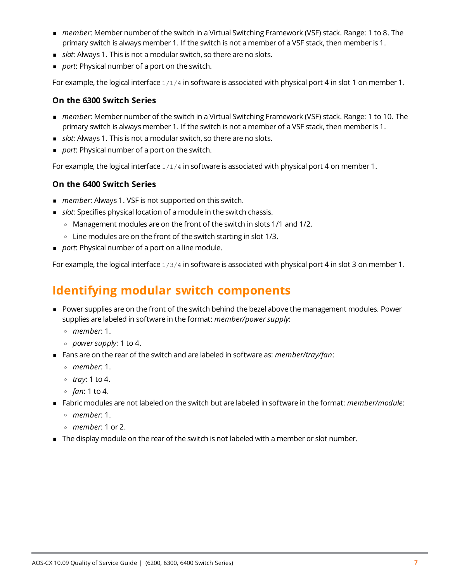- <sup>n</sup> *member*: Member number of the switch in a Virtual Switching Framework (VSF) stack. Range: 1 to 8. The primary switch is always member 1. If the switch is not a member of a VSF stack, then member is 1.
- **n** *slot*: Always 1. This is not a modular switch, so there are no slots.
- **port:** Physical number of a port on the switch.

For example, the logical interface  $1/1/4$  in software is associated with physical port 4 in slot 1 on member 1.

#### **On the 6300 Switch Series**

- *member*: Member number of the switch in a Virtual Switching Framework (VSF) stack. Range: 1 to 10. The primary switch is always member 1. If the switch is not a member of a VSF stack, then member is 1.
- **n** *slot*: Always 1. This is not a modular switch, so there are no slots.
- **port:** Physical number of a port on the switch.

For example, the logical interface  $1/1/4$  in software is associated with physical port 4 on member 1.

#### **On the 6400 Switch Series**

- *member*: Always 1. VSF is not supported on this switch.
- <sup>n</sup> *slot*: Specifies physical location of a module in the switch chassis.
	- <sup>o</sup> Management modules are on the front of the switch in slots 1/1 and 1/2.
	- $\circ$  Line modules are on the front of the switch starting in slot 1/3.
- **port: Physical number of a port on a line module.**

For example, the logical interface  $1/3/4$  in software is associated with physical port 4 in slot 3 on member 1.

# <span id="page-6-0"></span>**Identifying modular switch components**

- <sup>n</sup> Power supplies are on the front of the switch behind the bezel above the management modules. Power supplies are labeled in software in the format: *member/power supply*:
	- <sup>o</sup> *member*: 1.
	- <sup>o</sup> *power supply*: 1 to 4.
- <sup>n</sup> Fans are on the rear of the switch and are labeled in software as: *member/tray/fan*:
	- <sup>o</sup> *member*: 1.
	- <sup>o</sup> *tray*: 1 to 4.
	- <sup>o</sup> *fan*: 1 to 4.
- <sup>n</sup> Fabric modules are not labeled on the switch but are labeled in software in the format: *member/module*:
	- <sup>o</sup> *member*: 1.
	- <sup>o</sup> *member*: 1 or 2.
- n The display module on the rear of the switch is not labeled with a member or slot number.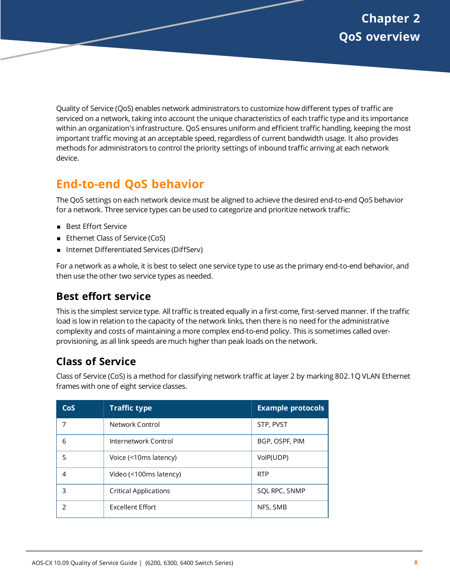<span id="page-7-0"></span>Quality of Service (QoS) enables network administrators to customize how different types of traffic are serviced on a network, taking into account the unique characteristics of each traffic type and its importance within an organization's infrastructure. QoS ensures uniform and efficient traffic handling, keeping the most important traffic moving at an acceptable speed, regardless of current bandwidth usage. It also provides methods for administrators to control the priority settings of inbound traffic arriving at each network device.

# <span id="page-7-1"></span>**End-to-end QoS behavior**

The QoS settings on each network device must be aligned to achieve the desired end-to-end QoS behavior for a network. Three service types can be used to categorize and prioritize network traffic:

- **Best Effort Service**
- Ethernet Class of Service (CoS)
- Internet Differentiated Services (DiffServ)

For a network as a whole, it is best to select one service type to use as the primary end-to-end behavior, and then use the other two service types as needed.

# <span id="page-7-2"></span>**Best effort service**

This is the simplest service type. All traffic is treated equally in a first-come, first-served manner. If the traffic load is low in relation to the capacity of the network links, then there is no need for the administrative complexity and costs of maintaining a more complex end-to-end policy. This is sometimes called overprovisioning, as all link speeds are much higher than peak loads on the network.

# <span id="page-7-3"></span>**Class of Service**

Class of Service (CoS) is a method for classifying network traffic at layer 2 by marking 802.1Q VLAN Ethernet frames with one of eight service classes.

| CoS | <b>Traffic type</b>          | <b>Example protocols</b> |
|-----|------------------------------|--------------------------|
|     | Network Control              | STP, PVST                |
| 6   | Internetwork Control         | BGP, OSPF, PIM           |
| 5   | Voice (<10ms latency)        | VolP(UDP)                |
| 4   | Video (<100ms latency)       | <b>RTP</b>               |
| 3   | <b>Critical Applications</b> | SQL RPC, SNMP            |
| フ   | <b>Excellent Effort</b>      | NFS, SMB                 |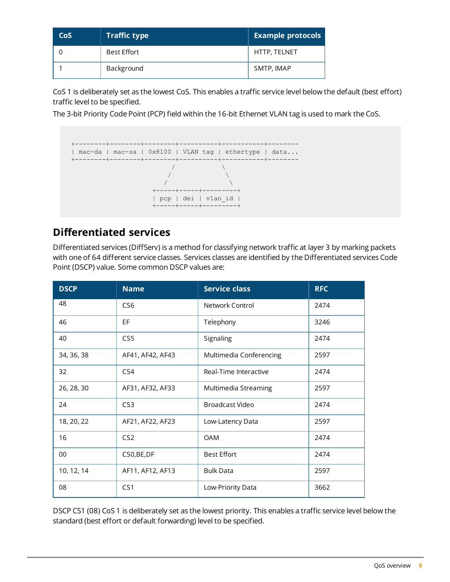| <b>CoS</b> | <b>Traffic type</b> | <b>Example protocols</b> |
|------------|---------------------|--------------------------|
|            | Best Effort         | HTTP, TELNET             |
|            | Background          | SMTP, IMAP               |

CoS 1 is deliberately set as the lowest CoS. This enables a traffic service level below the default (best effort) traffic level to be specified.

The 3-bit Priority Code Point (PCP) field within the 16-bit Ethernet VLAN tag is used to mark the CoS.



### <span id="page-8-0"></span>**Differentiated services**

Differentiated services (DiffServ) is a method for classifying network traffic at layer 3 by marking packets with one of 64 different service classes. Services classes are identified by the Differentiated services Code Point (DSCP) value. Some common DSCP values are:

| <b>DSCP</b> | <b>Name</b>      | <b>Service class</b>    | <b>RFC</b> |
|-------------|------------------|-------------------------|------------|
| 48          | CS <sub>6</sub>  | Network Control         | 2474       |
| 46          | EF               | Telephony               | 3246       |
| 40          | CS5              | Signaling               | 2474       |
| 34, 36, 38  | AF41, AF42, AF43 | Multimedia Conferencing | 2597       |
| 32          | CS4              | Real-Time Interactive   | 2474       |
| 26, 28, 30  | AF31, AF32, AF33 | Multimedia Streaming    | 2597       |
| 24          | CS <sub>3</sub>  | Broadcast Video         | 2474       |
| 18, 20, 22  | AF21, AF22, AF23 | Low-Latency Data        | 2597       |
| 16          | CS <sub>2</sub>  | <b>OAM</b>              | 2474       |
| 00          | CS0, BE, DF      | <b>Best Effort</b>      | 2474       |
| 10, 12, 14  | AF11, AF12, AF13 | <b>Bulk Data</b>        | 2597       |
| 08          | CS <sub>1</sub>  | Low-Priority Data       | 3662       |

DSCP CS1 (08) CoS 1 is deliberately set as the lowest priority. This enables a traffic service level below the standard (best effort or default forwarding) level to be specified.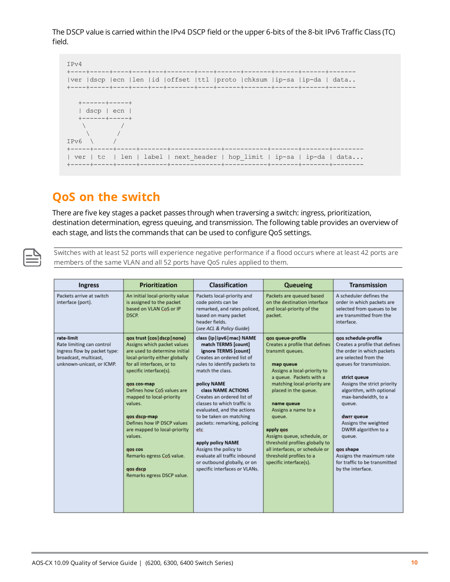The DSCP value is carried within the IPv4 DSCP field or the upper 6-bits of the 8-bit IPv6 Traffic Class (TC) field.



# <span id="page-9-0"></span>**QoS on the switch**

There are five key stages a packet passes through when traversing a switch: ingress, prioritization, destination determination, egress queuing, and transmission. The following table provides an overview of each stage, and lists the commands that can be used to configure QoS settings.

Switches with at least 52 ports will experience negative performance if a flood occurs where at least 42 ports are members of the same VLAN and all 52 ports have QoS rules applied to them.

| <b>Ingress</b>                                                                                                                | <b>Prioritization</b>                                                                                                                                                                                                                                                                                                                                                                                                                                 | Classification                                                                                                                                                                                                                                                                                                                                                                                                                                                                                                | Queueing                                                                                                                                                                                                                                                                                                                                                                                                                  | <b>Transmission</b>                                                                                                                                                                                                                                                                                                                                                                                                         |
|-------------------------------------------------------------------------------------------------------------------------------|-------------------------------------------------------------------------------------------------------------------------------------------------------------------------------------------------------------------------------------------------------------------------------------------------------------------------------------------------------------------------------------------------------------------------------------------------------|---------------------------------------------------------------------------------------------------------------------------------------------------------------------------------------------------------------------------------------------------------------------------------------------------------------------------------------------------------------------------------------------------------------------------------------------------------------------------------------------------------------|---------------------------------------------------------------------------------------------------------------------------------------------------------------------------------------------------------------------------------------------------------------------------------------------------------------------------------------------------------------------------------------------------------------------------|-----------------------------------------------------------------------------------------------------------------------------------------------------------------------------------------------------------------------------------------------------------------------------------------------------------------------------------------------------------------------------------------------------------------------------|
| Packets arrive at switch<br>interface (port).                                                                                 | An initial local-priority value<br>is assigned to the packet<br>based on VLAN CoS or IP<br>DSCP.                                                                                                                                                                                                                                                                                                                                                      | Packets local-priority and<br>code points can be<br>remarked, and rates policed,<br>based on many packet<br>header fields.<br>(see ACL & Policy Guide)                                                                                                                                                                                                                                                                                                                                                        | Packets are queued based<br>on the destination interface<br>and local-priority of the<br>packet.                                                                                                                                                                                                                                                                                                                          | A scheduler defines the<br>order in which packets are<br>selected from queues to be<br>are transmitted from the<br>interface.                                                                                                                                                                                                                                                                                               |
| rate-limit<br>Rate limiting can control<br>ingress flow by packet type:<br>broadcast, multicast,<br>unknown-unicast, or ICMP. | gos trust {cos   dscp   none}<br>Assigns which packet values<br>are used to determine initial<br>local-priority either globally<br>for all interfaces, or to<br>specific interface(s).<br>gos cos-map<br>Defines how CoS values are<br>mapped to local-priority<br>values.<br>gos dscp-map<br>Defines how IP DSCP values<br>are mapped to local-priority<br>values.<br>gos cos<br>Remarks egress CoS value.<br>gos dscp<br>Remarks egress DSCP value. | class {ip   ipv6   mac} NAME<br>match TERMS [count]<br>ignore TERMS [count]<br>Creates an ordered list of<br>rules to identify packets to<br>match the class.<br>policy NAME<br>class NAME ACTIONS<br>Creates an ordered list of<br>classes to which traffic is<br>evaluated, and the actions<br>to be taken on matching<br>packets: remarking, policing<br>etc<br>apply policy NAME<br>Assigns the policy to<br>evaluate all traffic inbound<br>or outbound globally, or on<br>specific interfaces or VLANs. | gos queue-profile<br>Creates a profile that defines<br>transmit queues.<br>map queue<br>Assigns a local-priority to<br>a queue. Packets with a<br>matching local-priority are<br>placed in the queue.<br>name queue<br>Assigns a name to a<br>queue.<br>apply gos<br>Assigns queue, schedule, or<br>threshold profiles globally to<br>all interfaces, or schedule or<br>threshold profiles to a<br>specific interface(s). | gos schedule-profile<br>Creates a profile that defines<br>the order in which packets<br>are selected from the<br>queues for transmission.<br>strict queue<br>Assigns the strict priority<br>algorithm, with optional<br>max-bandwidth, to a<br>queue.<br>dwrr queue<br>Assigns the weighted<br>DWRR algorithm to a<br>queue.<br>gos shape<br>Assigns the maximum rate<br>for traffic to be transmitted<br>by the interface. |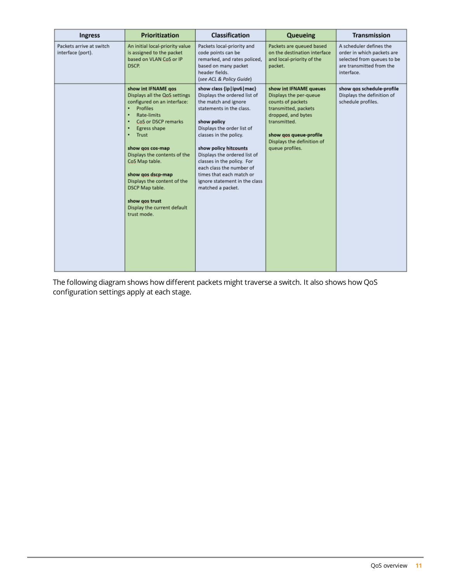| <b>Ingress</b>                                | Prioritization                                                                                                                                                                                                                                                                                                                                                                                  | Classification                                                                                                                                                                                                                                                                                                                                                                               | Queueing                                                                                                                                                                                                       | Transmission                                                                                                                  |
|-----------------------------------------------|-------------------------------------------------------------------------------------------------------------------------------------------------------------------------------------------------------------------------------------------------------------------------------------------------------------------------------------------------------------------------------------------------|----------------------------------------------------------------------------------------------------------------------------------------------------------------------------------------------------------------------------------------------------------------------------------------------------------------------------------------------------------------------------------------------|----------------------------------------------------------------------------------------------------------------------------------------------------------------------------------------------------------------|-------------------------------------------------------------------------------------------------------------------------------|
| Packets arrive at switch<br>interface (port). | An initial local-priority value<br>is assigned to the packet<br>based on VLAN CoS or IP<br>DSCP.                                                                                                                                                                                                                                                                                                | Packets local-priority and<br>code points can be<br>remarked, and rates policed,<br>based on many packet<br>header fields.<br>(see ACL & Policy Guide)                                                                                                                                                                                                                                       | Packets are queued based<br>on the destination interface<br>and local-priority of the<br>packet.                                                                                                               | A scheduler defines the<br>order in which packets are<br>selected from queues to be<br>are transmitted from the<br>interface. |
|                                               | show int IFNAME gos<br>Displays all the QoS settings<br>configured on an interface:<br>Profiles<br>٠<br>Rate-limits<br>٠<br>CoS or DSCP remarks<br>٠<br>Egress shape<br>Trust<br>٠<br>show gos cos-map<br>Displays the contents of the<br>CoS Map table.<br>show gos dscp-map<br>Displays the content of the<br>DSCP Map table.<br>show gos trust<br>Display the current default<br>trust mode. | show class {ip   ipv6   mac}<br>Displays the ordered list of<br>the match and ignore<br>statements in the class.<br>show policy<br>Displays the order list of<br>classes in the policy.<br>show policy hitcounts<br>Displays the ordered list of<br>classes in the policy. For<br>each class the number of<br>times that each match or<br>ignore statement in the class<br>matched a packet. | show int IFNAME queues<br>Displays the per-queue<br>counts of packets<br>transmitted, packets<br>dropped, and bytes<br>transmitted.<br>show gos queue-profile<br>Displays the definition of<br>queue profiles. | show gos schedule-profile<br>Displays the definition of<br>schedule profiles.                                                 |

The following diagram shows how different packets might traverse a switch. It also shows how QoS configuration settings apply at each stage.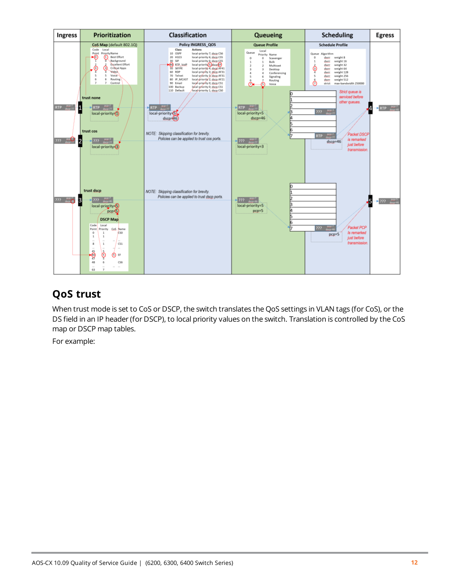

# <span id="page-11-0"></span>**QoS trust**

When trust mode is set to CoS or DSCP, the switch translates the QoS settings in VLAN tags (for CoS), or the DS field in an IP header (for DSCP), to local priority values on the switch. Translation is controlled by the CoS map or DSCP map tables.

For example: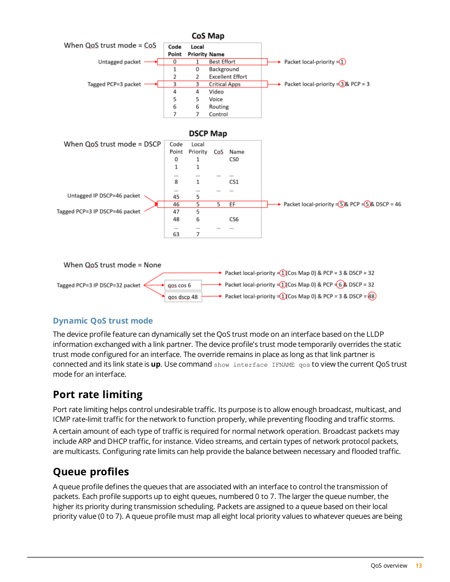

#### <span id="page-12-0"></span>**Dynamic QoS trust mode**

The device profile feature can dynamically set the QoS trust mode on an interface based on the LLDP information exchanged with a link partner. The device profile's trust mode temporarily overrides the static trust mode configured for an interface. The override remains in place as long as that link partner is connected and its link state is **up**. Use command show interface IFNAME qos to view the current QoS trust mode for an interface.

# <span id="page-12-1"></span>**Port rate limiting**

Port rate limiting helps control undesirable traffic. Its purpose is to allow enough broadcast, multicast, and ICMP rate-limit traffic for the network to function properly, while preventing flooding and traffic storms.

A certain amount of each type of traffic is required for normal network operation. Broadcast packets may include ARP and DHCP traffic, for instance. Video streams, and certain types of network protocol packets, are multicasts. Configuring rate limits can help provide the balance between necessary and flooded traffic.

### <span id="page-12-2"></span>**Queue profiles**

A queue profile defines the queues that are associated with an interface to control the transmission of packets. Each profile supports up to eight queues, numbered 0 to 7. The larger the queue number, the higher its priority during transmission scheduling. Packets are assigned to a queue based on their local priority value (0 to 7). A queue profile must map all eight local priority values to whatever queues are being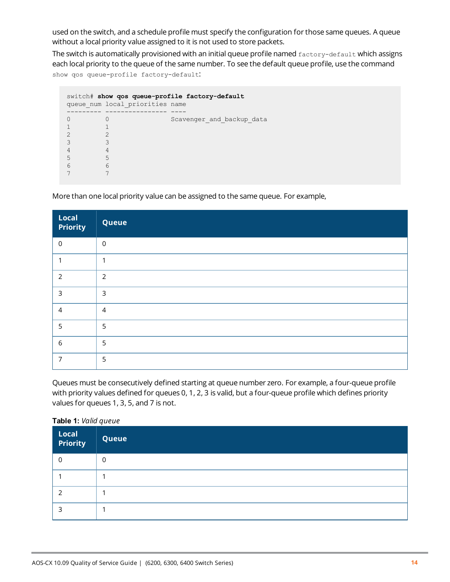used on the switch, and a schedule profile must specify the configuration for those same queues. A queue without a local priority value assigned to it is not used to store packets.

The switch is automatically provisioned with an initial queue profile named factory-default which assigns each local priority to the queue of the same number. To see the default queue profile, use the command show qos queue-profile factory-default:

|   | queue num local priorities name | switch# show gos queue-profile factory-default |
|---|---------------------------------|------------------------------------------------|
|   |                                 | Scavenger and backup data                      |
|   |                                 |                                                |
|   |                                 |                                                |
|   |                                 |                                                |
|   |                                 |                                                |
| 5 | 5                               |                                                |
| 6 | 6                               |                                                |
|   |                                 |                                                |

More than one local priority value can be assigned to the same queue. For example,

| Local<br>  Priority | Queue          |
|---------------------|----------------|
| $\mathbf 0$         | $\mathbf 0$    |
|                     | ٠              |
| 2                   | $\overline{2}$ |
| $\overline{3}$      | $\overline{3}$ |
| $\overline{4}$      | $\overline{4}$ |
| 5                   | 5              |
| 6                   | 5              |
| 7                   | 5              |

Queues must be consecutively defined starting at queue number zero. For example, a four-queue profile with priority values defined for queues 0, 1, 2, 3 is valid, but a four-queue profile which defines priority values for queues 1, 3, 5, and 7 is not.

#### **Table 1:** *Valid queue*

| Local<br>  Priority | Queue    |
|---------------------|----------|
|                     | $\Omega$ |
|                     |          |
|                     |          |
|                     |          |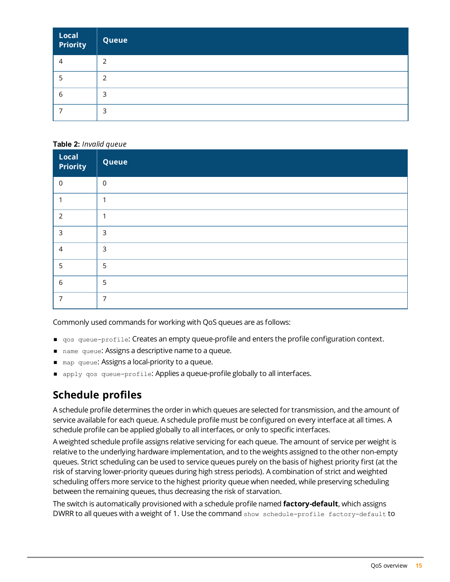| Local<br>Priority | Queue |
|-------------------|-------|
|                   | っ     |
|                   | っ     |
| b                 | 3     |
|                   | 3     |

#### **Table 2:** *Invalid queue*

| Local<br>Priority | Queue            |
|-------------------|------------------|
| $\mathbf 0$       | $\boldsymbol{0}$ |
| ٠                 | ٠                |
| 2                 | 1                |
| 3                 | $\overline{3}$   |
| 4                 | $\overline{3}$   |
| 5                 | 5                |
| 6                 | 5                |
| 7                 | $\overline{7}$   |

Commonly used commands for working with QoS queues are as follows:

- <sup>n</sup> qos queue-profile: Creates an empty queue-profile and enters the profile configuration context.
- name queue: Assigns a descriptive name to a queue.
- $\blacksquare$  map queue: Assigns a local-priority to a queue.
- n apply qos queue-profile: Applies a queue-profile globally to all interfaces.

# <span id="page-14-0"></span>**Schedule profiles**

A schedule profile determines the order in which queues are selected for transmission, and the amount of service available for each queue. A schedule profile must be configured on every interface at all times. A schedule profile can be applied globally to all interfaces, or only to specific interfaces.

A weighted schedule profile assigns relative servicing for each queue. The amount of service per weight is relative to the underlying hardware implementation, and to the weights assigned to the other non-empty queues. Strict scheduling can be used to service queues purely on the basis of highest priority first (at the risk of starving lower-priority queues during high stress periods). A combination of strict and weighted scheduling offers more service to the highest priority queue when needed, while preserving scheduling between the remaining queues, thus decreasing the risk of starvation.

The switch is automatically provisioned with a schedule profile named **factory-default**, which assigns DWRR to all queues with a weight of 1. Use the command show schedule-profile factory-default to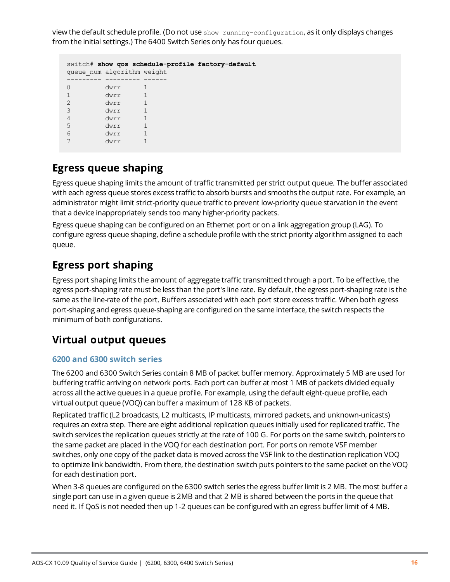view the default schedule profile. (Do not use show running-configuration, as it only displays changes from the initial settings.) The 6400 Switch Series only has four queues.

|                | queue num algorithm weight | switch# show gos schedule-profile factory-default |
|----------------|----------------------------|---------------------------------------------------|
|                | dwrr                       |                                                   |
|                | dwrr                       |                                                   |
| $\overline{2}$ | dwrr                       |                                                   |
| 3              | dwrr                       |                                                   |
| 4              | dwrr                       |                                                   |
| 5              | dwrr                       |                                                   |
| 6              | dwrr                       |                                                   |
|                | dwrr                       |                                                   |

### <span id="page-15-0"></span>**Egress queue shaping**

Egress queue shaping limits the amount of traffic transmitted per strict output queue. The buffer associated with each egress queue stores excess traffic to absorb bursts and smooths the output rate. For example, an administrator might limit strict-priority queue traffic to prevent low-priority queue starvation in the event that a device inappropriately sends too many higher-priority packets.

Egress queue shaping can be configured on an Ethernet port or on a link aggregation group (LAG). To configure egress queue shaping, define a schedule profile with the strict priority algorithm assigned to each queue.

### <span id="page-15-1"></span>**Egress port shaping**

Egress port shaping limits the amount of aggregate traffic transmitted through a port. To be effective, the egress port-shaping rate must be less than the port's line rate. By default, the egress port-shaping rate is the same as the line-rate of the port. Buffers associated with each port store excess traffic. When both egress port-shaping and egress queue-shaping are configured on the same interface, the switch respects the minimum of both configurations.

### <span id="page-15-2"></span>**Virtual output queues**

#### <span id="page-15-3"></span>**6200 and 6300 switch series**

The 6200 and 6300 Switch Series contain 8 MB of packet buffer memory. Approximately 5 MB are used for buffering traffic arriving on network ports. Each port can buffer at most 1 MB of packets divided equally across all the active queues in a queue profile. For example, using the default eight-queue profile, each virtual output queue (VOQ) can buffer a maximum of 128 KB of packets.

Replicated traffic (L2 broadcasts, L2 multicasts, IP multicasts, mirrored packets, and unknown-unicasts) requires an extra step. There are eight additional replication queues initially used for replicated traffic. The switch services the replication queues strictly at the rate of 100 G. For ports on the same switch, pointers to the same packet are placed in the VOQ for each destination port. For ports on remote VSF member switches, only one copy of the packet data is moved across the VSF link to the destination replication VOQ to optimize link bandwidth. From there, the destination switch puts pointers to the same packet on the VOQ for each destination port.

When 3-8 queues are configured on the 6300 switch series the egress buffer limit is 2 MB. The most buffer a single port can use in a given queue is 2MB and that 2 MB is shared between the ports in the queue that need it. If QoS is not needed then up 1-2 queues can be configured with an egress buffer limit of 4 MB.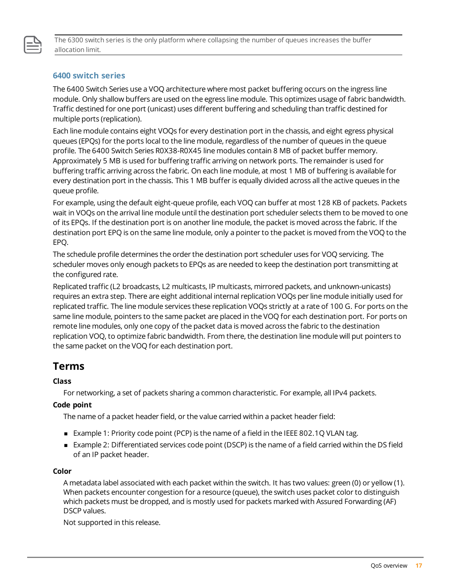

The 6300 switch series is the only platform where collapsing the number of queues increases the buffer allocation limit.

#### <span id="page-16-0"></span>**6400 switch series**

The 6400 Switch Series use a VOQ architecture where most packet buffering occurs on the ingress line module. Only shallow buffers are used on the egress line module. This optimizes usage of fabric bandwidth. Traffic destined for one port (unicast) uses different buffering and scheduling than traffic destined for multiple ports (replication).

Each line module contains eight VOQs for every destination port in the chassis, and eight egress physical queues (EPQs) for the ports local to the line module, regardless of the number of queues in the queue profile. The 6400 Switch Series R0X38-R0X45 line modules contain 8 MB of packet buffer memory. Approximately 5 MB is used for buffering traffic arriving on network ports. The remainder is used for buffering traffic arriving across the fabric. On each line module, at most 1 MB of buffering is available for every destination port in the chassis. This 1 MB buffer is equally divided across all the active queues in the queue profile.

For example, using the default eight-queue profile, each VOQ can buffer at most 128 KB of packets. Packets wait in VOQs on the arrival line module until the destination port scheduler selects them to be moved to one of its EPQs. If the destination port is on another line module, the packet is moved across the fabric. If the destination port EPQ is on the same line module, only a pointer to the packet is moved from the VOQ to the EPQ.

The schedule profile determines the order the destination port scheduler uses for VOQ servicing. The scheduler moves only enough packets to EPQs as are needed to keep the destination port transmitting at the configured rate.

Replicated traffic (L2 broadcasts, L2 multicasts, IP multicasts, mirrored packets, and unknown-unicasts) requires an extra step. There are eight additional internal replication VOQs per line module initially used for replicated traffic. The line module services these replication VOQs strictly at a rate of 100 G. For ports on the same line module, pointers to the same packet are placed in the VOQ for each destination port. For ports on remote line modules, only one copy of the packet data is moved across the fabric to the destination replication VOQ, to optimize fabric bandwidth. From there, the destination line module will put pointers to the same packet on the VOQ for each destination port.

### <span id="page-16-1"></span>**Terms**

#### **Class**

For networking, a set of packets sharing a common characteristic. For example, all IPv4 packets.

#### **Code point**

The name of a packet header field, or the value carried within a packet header field:

- Example 1: Priority code point (PCP) is the name of a field in the IEEE 802.1Q VLAN tag.
- Example 2: Differentiated services code point (DSCP) is the name of a field carried within the DS field of an IP packet header.

#### **Color**

A metadata label associated with each packet within the switch. It has two values: green (0) or yellow (1). When packets encounter congestion for a resource (queue), the switch uses packet color to distinguish which packets must be dropped, and is mostly used for packets marked with Assured Forwarding (AF) DSCP values.

Not supported in this release.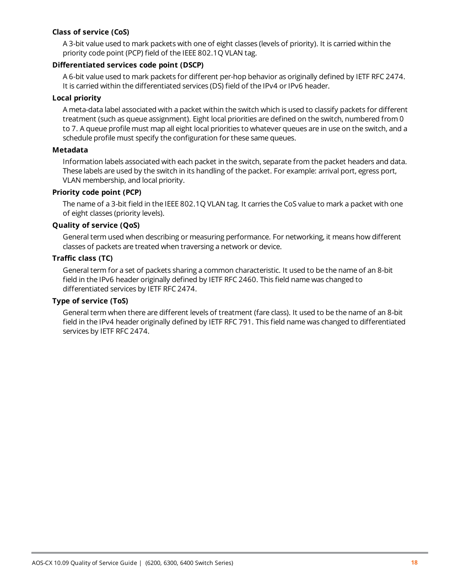#### **Class of service (CoS)**

A 3-bit value used to mark packets with one of eight classes (levels of priority). It is carried within the priority code point (PCP) field of the IEEE 802.1Q VLAN tag.

#### **Differentiated services code point (DSCP)**

A 6-bit value used to mark packets for different per-hop behavior as originally defined by IETF RFC 2474. It is carried within the differentiated services (DS) field of the IPv4 or IPv6 header.

#### **Local priority**

A meta-data label associated with a packet within the switch which is used to classify packets for different treatment (such as queue assignment). Eight local priorities are defined on the switch, numbered from 0 to 7. A queue profile must map all eight local priorities to whatever queues are in use on the switch, and a schedule profile must specify the configuration for these same queues.

#### **Metadata**

Information labels associated with each packet in the switch, separate from the packet headers and data. These labels are used by the switch in its handling of the packet. For example: arrival port, egress port, VLAN membership, and local priority.

#### **Priority code point (PCP)**

The name of a 3-bit field in the IEEE 802.1Q VLAN tag. It carries the CoS value to mark a packet with one of eight classes (priority levels).

#### **Quality of service (QoS)**

General term used when describing or measuring performance. For networking, it means how different classes of packets are treated when traversing a network or device.

#### **Traffic class (TC)**

General term for a set of packets sharing a common characteristic. It used to be the name of an 8-bit field in the IPv6 header originally defined by IETF RFC 2460. This field name was changed to differentiated services by IETF RFC 2474.

#### **Type of service (ToS)**

General term when there are different levels of treatment (fare class). It used to be the name of an 8-bit field in the IPv4 header originally defined by IETF RFC 791. This field name was changed to differentiated services by IETF RFC 2474.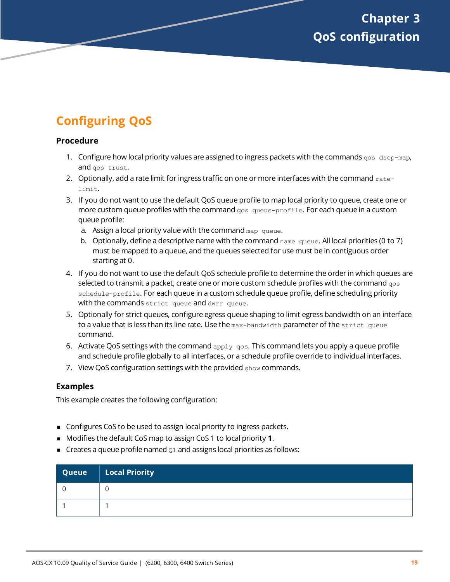# <span id="page-18-1"></span><span id="page-18-0"></span>**Configuring QoS**

#### **Procedure**

- 1. Configure how local priority values are assigned to ingress packets with the commands  $q_{\text{OS}}$  dscp-map, and gos trust.
- 2. Optionally, add a rate limit for ingress traffic on one or more interfaces with the command ratelimit.
- 3. If you do not want to use the default QoS queue profile to map local priority to queue, create one or more custom queue profiles with the command gos queue-profile. For each queue in a custom queue profile:
	- a. Assign a local priority value with the command map queue.
	- b. Optionally, define a descriptive name with the command name queue. All local priorities (0 to 7) must be mapped to a queue, and the queues selected for use must be in contiguous order starting at 0.
- 4. If you do not want to use the default QoS schedule profile to determine the order in which queues are selected to transmit a packet, create one or more custom schedule profiles with the command  $q_{\text{cos}}$ schedule-profile. For each queue in a custom schedule queue profile, define scheduling priority with the commands strict queue and dwrr queue.
- 5. Optionally for strict queues, configure egress queue shaping to limit egress bandwidth on an interface to a value that is less than its line rate. Use the max-bandwidth parameter of the strict queue command.
- 6. Activate QoS settings with the command  $_{\rm apply}$   $_{\rm qos}$ . This command lets you apply a queue profile and schedule profile globally to all interfaces, or a schedule profile override to individual interfaces.
- 7. View QoS configuration settings with the provided show commands.

#### **Examples**

This example creates the following configuration:

- Configures CoS to be used to assign local priority to ingress packets.
- Modifies the default CoS map to assign CoS 1 to local priority **1**.
- $\blacksquare$  Creates a queue profile named  $\Omega_1$  and assigns local priorities as follows:

| Queue | $\vert$ Local Priority |
|-------|------------------------|
|       | U                      |
|       |                        |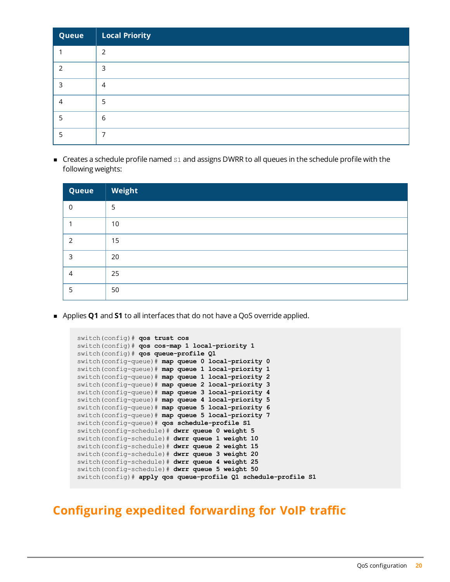| Queue | <b>Local Priority</b> |
|-------|-----------------------|
|       | $\mathfrak{D}$        |
|       | 3                     |
| ੨     | 4                     |
| 4     | 5                     |
|       | 6                     |
|       |                       |

 $\blacksquare$  Creates a schedule profile named  $s_1$  and assigns DWRR to all queues in the schedule profile with the following weights:

| Queue          | Weight |
|----------------|--------|
| $\overline{0}$ | 5      |
|                | 10     |
| ົ              | 15     |
| 3              | 20     |
| 4              | 25     |
| 5              | 50     |

<sup>n</sup> Applies **Q1** and **S1** to all interfaces that do not have a QoS override applied.

```
switch(config)# qos trust cos
switch(config)# qos cos-map 1 local-priority 1
switch(config)# qos queue-profile Q1
switch(config-queue)# map queue 0 local-priority 0
switch(config-queue)# map queue 1 local-priority 1
switch(config-queue)# map queue 1 local-priority 2
switch(config-queue)# map queue 2 local-priority 3
switch(config-queue)# map queue 3 local-priority 4
switch(config-queue)# map queue 4 local-priority 5
switch(config-queue)# map queue 5 local-priority 6
switch(config-queue)# map queue 5 local-priority 7
switch(config-queue)# qos schedule-profile S1
switch(config-schedule)# dwrr queue 0 weight 5
switch(config-schedule)# dwrr queue 1 weight 10
switch(config-schedule)# dwrr queue 2 weight 15
switch(config-schedule)# dwrr queue 3 weight 20
switch(config-schedule)# dwrr queue 4 weight 25
switch(config-schedule)# dwrr queue 5 weight 50
switch(config)# apply qos queue-profile Q1 schedule-profile S1
```
### <span id="page-19-0"></span>**Configuring expedited forwarding for VoIP traffic**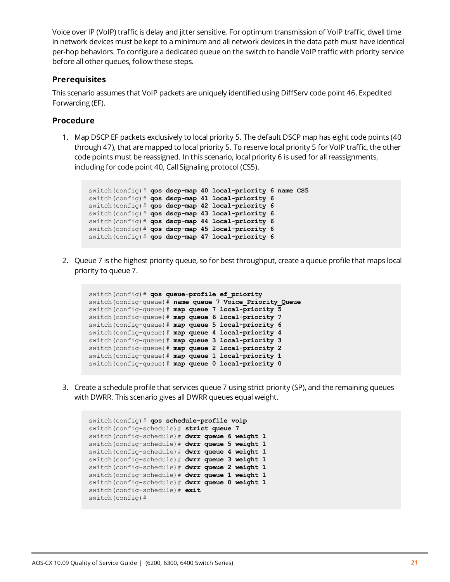Voice over IP (VoIP) traffic is delay and jitter sensitive. For optimum transmission of VoIP traffic, dwell time in network devices must be kept to a minimum and all network devices in the data path must have identical per-hop behaviors. To configure a dedicated queue on the switch to handle VoIP traffic with priority service before all other queues, follow these steps.

#### **Prerequisites**

This scenario assumes that VoIP packets are uniquely identified using DiffServ code point 46, Expedited Forwarding (EF).

#### **Procedure**

1. Map DSCP EF packets exclusively to local priority 5. The default DSCP map has eight code points (40 through 47), that are mapped to local priority 5. To reserve local priority 5 for VoIP traffic, the other code points must be reassigned. In this scenario, local priority 6 is used for all reassignments, including for code point 40, Call Signaling protocol (CS5).

```
switch(config)# qos dscp-map 40 local-priority 6 name CS5
switch(config)# qos dscp-map 41 local-priority 6
switch(config)# qos dscp-map 42 local-priority 6
switch(config)# qos dscp-map 43 local-priority 6
switch(config)# qos dscp-map 44 local-priority 6
switch(config)# qos dscp-map 45 local-priority 6
switch(config)# qos dscp-map 47 local-priority 6
```
2. Queue 7 is the highest priority queue, so for best throughput, create a queue profile that maps local priority to queue 7.

```
switch(config)# qos queue-profile ef_priority
switch(config-queue)# name queue 7 Voice_Priority_Queue
switch(config-queue)# map queue 7 local-priority 5
switch(config-queue)# map queue 6 local-priority 7
switch(config-queue)# map queue 5 local-priority 6
switch(config-queue)# map queue 4 local-priority 4
switch(config-queue)# map queue 3 local-priority 3
switch(config-queue)# map queue 2 local-priority 2
switch(config-queue)# map queue 1 local-priority 1
switch(config-queue)# map queue 0 local-priority 0
```
3. Create a schedule profile that services queue 7 using strict priority (SP), and the remaining queues with DWRR. This scenario gives all DWRR queues equal weight.

```
switch(config)# qos schedule-profile voip
switch(config-schedule)# strict queue 7
switch(config-schedule)# dwrr queue 6 weight 1
switch(config-schedule)# dwrr queue 5 weight 1
switch(config-schedule)# dwrr queue 4 weight 1
switch(config-schedule)# dwrr queue 3 weight 1
switch(config-schedule)# dwrr queue 2 weight 1
switch(config-schedule)# dwrr queue 1 weight 1
switch(config-schedule)# dwrr queue 0 weight 1
switch(config-schedule)# exit
switch(config)#
```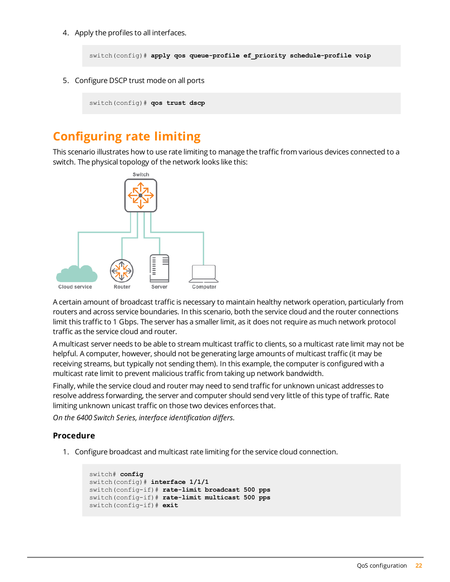4. Apply the profiles to all interfaces.

switch(config)# **apply qos queue-profile ef\_priority schedule-profile voip**

5. Configure DSCP trust mode on all ports

switch(config)# **qos trust dscp**

# <span id="page-21-0"></span>**Configuring rate limiting**

This scenario illustrates how to use rate limiting to manage the traffic from various devices connected to a switch. The physical topology of the network looks like this:



A certain amount of broadcast traffic is necessary to maintain healthy network operation, particularly from routers and across service boundaries. In this scenario, both the service cloud and the router connections limit this traffic to 1 Gbps. The server has a smaller limit, as it does not require as much network protocol traffic as the service cloud and router.

A multicast server needs to be able to stream multicast traffic to clients, so a multicast rate limit may not be helpful. A computer, however, should not be generating large amounts of multicast traffic (it may be receiving streams, but typically not sending them). In this example, the computer is configured with a multicast rate limit to prevent malicious traffic from taking up network bandwidth.

Finally, while the service cloud and router may need to send traffic for unknown unicast addresses to resolve address forwarding, the server and computer should send very little of this type of traffic. Rate limiting unknown unicast traffic on those two devices enforces that.

*On the 6400 Switch Series, interface identification differs.*

#### **Procedure**

1. Configure broadcast and multicast rate limiting for the service cloud connection.

```
switch# config
switch(config)# interface 1/1/1
switch(config-if)# rate-limit broadcast 500 pps
switch(config-if)# rate-limit multicast 500 pps
switch(config-if)# exit
```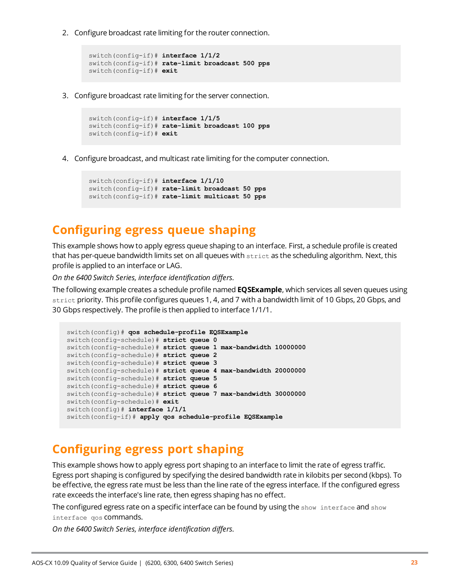2. Configure broadcast rate limiting for the router connection.

```
switch(config-if)# interface 1/1/2
switch(config-if)# rate-limit broadcast 500 pps
switch(config-if)# exit
```
3. Configure broadcast rate limiting for the server connection.

```
switch(config-if)# interface 1/1/5
switch(config-if)# rate-limit broadcast 100 pps
switch(config-if)# exit
```
4. Configure broadcast, and multicast rate limiting for the computer connection.

```
switch(config-if)# interface 1/1/10
switch(config-if)# rate-limit broadcast 50 pps
switch(config-if)# rate-limit multicast 50 pps
```
### <span id="page-22-0"></span>**Configuring egress queue shaping**

This example shows how to apply egress queue shaping to an interface. First, a schedule profile is created that has per-queue bandwidth limits set on all queues with strict as the scheduling algorithm. Next, this profile is applied to an interface or LAG.

*On the 6400 Switch Series, interface identification differs.*

The following example creates a schedule profile named **EQSExample**, which services all seven queues using strict priority. This profile configures queues 1, 4, and 7 with a bandwidth limit of 10 Gbps, 20 Gbps, and 30 Gbps respectively. The profile is then applied to interface 1/1/1.

```
switch(config)# qos schedule-profile EQSExample
switch(config-schedule)# strict queue 0
switch(config-schedule)# strict queue 1 max-bandwidth 10000000
switch(config-schedule)# strict queue 2
switch(config-schedule)# strict queue 3
switch(config-schedule)# strict queue 4 max-bandwidth 20000000
switch(config-schedule)# strict queue 5
switch(config-schedule)# strict queue 6
switch(config-schedule)# strict queue 7 max-bandwidth 30000000
switch(config-schedule)# exit
switch(config)# interface 1/1/1
switch(config-if)# apply qos schedule-profile EQSExample
```
# <span id="page-22-1"></span>**Configuring egress port shaping**

This example shows how to apply egress port shaping to an interface to limit the rate of egress traffic. Egress port shaping is configured by specifying the desired bandwidth rate in kilobits per second (kbps). To be effective, the egress rate must be less than the line rate of the egress interface. If the configured egress rate exceeds the interface's line rate, then egress shaping has no effect.

The configured egress rate on a specific interface can be found by using the show interface and show interface qos commands.

*On the 6400 Switch Series, interface identification differs.*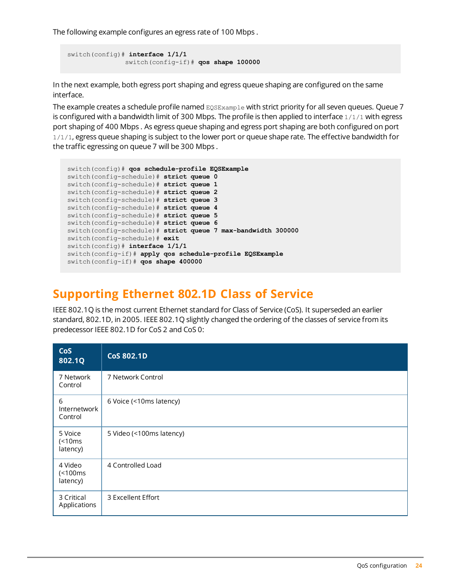The following example configures an egress rate of 100 Mbps .

```
switch(config)# interface 1/1/1
               switch(config-if)# qos shape 100000
```
In the next example, both egress port shaping and egress queue shaping are configured on the same interface.

The example creates a schedule profile named EQSExample with strict priority for all seven queues. Queue 7 is configured with a bandwidth limit of 300 Mbps. The profile is then applied to interface 1/1/1 with egress port shaping of 400 Mbps . As egress queue shaping and egress port shaping are both configured on port 1/1/1, egress queue shaping is subject to the lower port or queue shape rate. The effective bandwidth for the traffic egressing on queue 7 will be 300 Mbps .

```
switch(config)# qos schedule-profile EQSExample
switch(config-schedule)# strict queue 0
switch(config-schedule)# strict queue 1
switch(config-schedule)# strict queue 2
switch(config-schedule)# strict queue 3
switch(config-schedule)# strict queue 4
switch(config-schedule)# strict queue 5
switch(config-schedule)# strict queue 6
switch(config-schedule)# strict queue 7 max-bandwidth 300000
switch(config-schedule)# exit
switch(config)# interface 1/1/1
switch(config-if)# apply qos schedule-profile EQSExample
switch(config-if)# qos shape 400000
```
### <span id="page-23-0"></span>**Supporting Ethernet 802.1D Class of Service**

IEEE 802.1Q is the most current Ethernet standard for Class of Service (CoS). It superseded an earlier standard, 802.1D, in 2005. IEEE 802.1Q slightly changed the ordering of the classes of service from its predecessor IEEE 802.1D for CoS 2 and CoS 0:

| CoS<br>802.1Q                       | <b>CoS 802.1D</b>        |
|-------------------------------------|--------------------------|
| 7 Network<br>Control                | 7 Network Control        |
| 6<br><b>Internetwork</b><br>Control | 6 Voice (<10ms latency)  |
| 5 Voice<br>(<br>latency)            | 5 Video (<100ms latency) |
| 4 Video<br>(<100ms<br>latency)      | 4 Controlled Load        |
| 3 Critical<br>Applications          | 3 Excellent Effort       |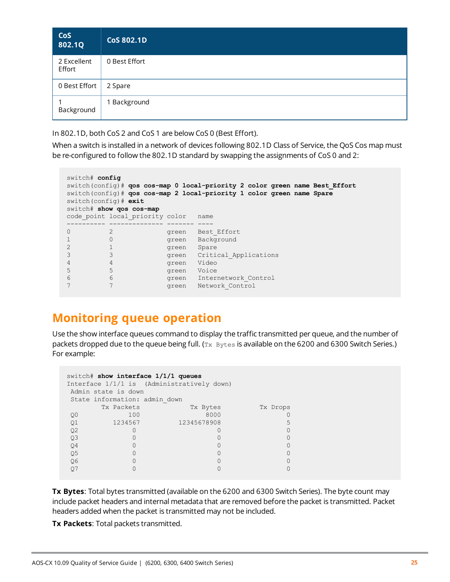| <b>CoS</b><br>802.1Q  | <b>CoS 802.1D</b> |
|-----------------------|-------------------|
| 2 Excellent<br>Effort | 0 Best Effort     |
| 0 Best Effort         | 2 Spare           |
| Background            | 1 Background      |

In 802.1D, both CoS 2 and CoS 1 are below CoS 0 (Best Effort).

When a switch is installed in a network of devices following 802.1D Class of Service, the QoS Cos map must be re-configured to follow the 802.1D standard by swapping the assignments of CoS 0 and 2:

```
switch# config
switch(config)# qos cos-map 0 local-priority 2 color green name Best_Effort
switch(config)# qos cos-map 2 local-priority 1 color green name Spare
switch(config)# exit
switch# show qos cos-map
code_point local_priority color name<br>---------- ------------- ------ ----
---------- -------------- ------ ----
0 2 3 green Best Effort
1 0 0 green Background
2 1 green Spare
3 3 green Critical_Applications
4 4 green Video
5 5 green Voice
6 6 6 6 green Internetwork Control
7 7 7 green Network Control
```
# <span id="page-24-0"></span>**Monitoring queue operation**

Use the show interface queues command to display the traffic transmitted per queue, and the number of packets dropped due to the queue being full.  $(T_X$  Bytes is available on the 6200 and 6300 Switch Series.) For example:

```
switch# show interface 1/1/1 queues
Interface 1/1/1 is (Administratively down)
Admin state is down
State information: admin down
   Tx Packets Tx Bytes Tx Drops
Q0 100 100 8000 0
Q1 1234567 12345678908 5
Q2 0 0 0
Q3 0 0 0
Q4 0 0 0
Q5 0 0 0
Q6 0 0 0
Q7 0 0 0
```
**Tx Bytes**: Total bytes transmitted (available on the 6200 and 6300 Switch Series). The byte count may include packet headers and internal metadata that are removed before the packet is transmitted. Packet headers added when the packet is transmitted may not be included.

**Tx Packets**: Total packets transmitted.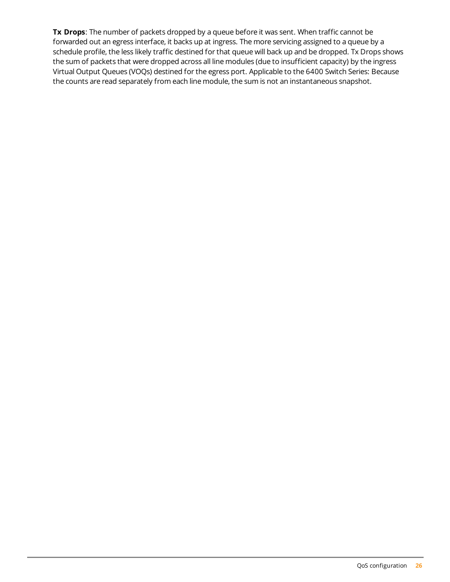**Tx Drops**: The number of packets dropped by a queue before it was sent. When traffic cannot be forwarded out an egress interface, it backs up at ingress. The more servicing assigned to a queue by a schedule profile, the less likely traffic destined for that queue will back up and be dropped. Tx Drops shows the sum of packets that were dropped across all line modules (due to insufficient capacity) by the ingress Virtual Output Queues (VOQs) destined for the egress port. Applicable to the 6400 Switch Series: Because the counts are read separately from each line module, the sum is not an instantaneous snapshot.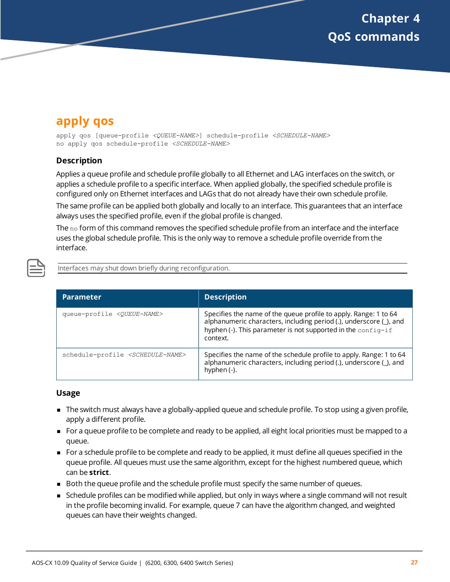# <span id="page-26-1"></span><span id="page-26-0"></span>**apply qos**

apply qos [queue-profile *<QUEUE-NAME>*] schedule-profile *<SCHEDULE-NAME>* no apply qos schedule-profile *<SCHEDULE-NAME>*

#### **Description**

Applies a queue profile and schedule profile globally to all Ethernet and LAG interfaces on the switch, or applies a schedule profile to a specific interface. When applied globally, the specified schedule profile is configured only on Ethernet interfaces and LAGs that do not already have their own schedule profile.

The same profile can be applied both globally and locally to an interface. This guarantees that an interface always uses the specified profile, even if the global profile is changed.

The  $no$  form of this command removes the specified schedule profile from an interface and the interface uses the global schedule profile. This is the only way to remove a schedule profile override from the interface.



Interfaces may shut down briefly during reconfiguration.

| <b>Parameter</b>                                 | <b>Description</b>                                                                                                                                                                                                 |
|--------------------------------------------------|--------------------------------------------------------------------------------------------------------------------------------------------------------------------------------------------------------------------|
| queue-profile <queue-name></queue-name>          | Specifies the name of the queue profile to apply. Range: 1 to 64<br>alphanumeric characters, including period (.), underscore (_), and<br>hyphen (-). This parameter is not supported in the config-if<br>context. |
| schedule-profile <schedule-name></schedule-name> | Specifies the name of the schedule profile to apply. Range: 1 to 64<br>alphanumeric characters, including period (.), underscore (_), and<br>hyphen (-).                                                           |

#### **Usage**

- <sup>n</sup> The switch must always have a globally-applied queue and schedule profile. To stop using a given profile, apply a different profile.
- <sup>n</sup> For a queue profile to be complete and ready to be applied, all eight local priorities must be mapped to a queue.
- <sup>n</sup> For a schedule profile to be complete and ready to be applied, it must define all queues specified in the queue profile. All queues must use the same algorithm, except for the highest numbered queue, which can be **strict**.
- **Both the queue profile and the schedule profile must specify the same number of queues.**
- **n** Schedule profiles can be modified while applied, but only in ways where a single command will not result in the profile becoming invalid. For example, queue 7 can have the algorithm changed, and weighted queues can have their weights changed.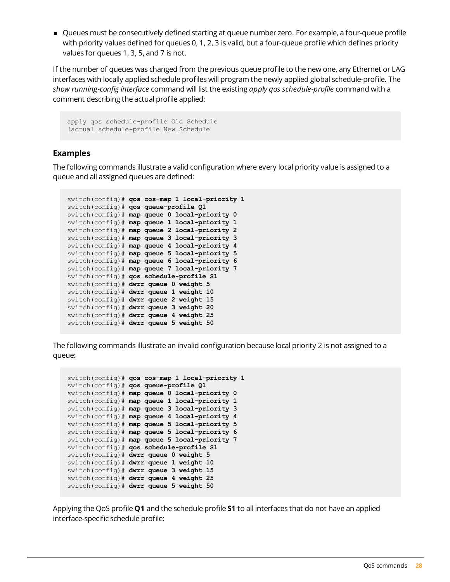<sup>n</sup> Queues must be consecutively defined starting at queue number zero. For example, a four-queue profile with priority values defined for queues 0, 1, 2, 3 is valid, but a four-queue profile which defines priority values for queues 1, 3, 5, and 7 is not.

If the number of queues was changed from the previous queue profile to the new one, any Ethernet or LAG interfaces with locally applied schedule profiles will program the newly applied global schedule-profile. The *show running-config interface* command will list the existing *apply qos schedule-profile* command with a comment describing the actual profile applied:

```
apply qos schedule-profile Old_Schedule
!actual schedule-profile New Schedule
```
#### **Examples**

The following commands illustrate a valid configuration where every local priority value is assigned to a queue and all assigned queues are defined:

```
switch(config)# qos cos-map 1 local-priority 1
switch(config)# qos queue-profile Q1
switch(config)# map queue 0 local-priority 0
switch(config)# map queue 1 local-priority 1
switch(config)# map queue 2 local-priority 2
switch(config)# map queue 3 local-priority 3
switch(config)# map queue 4 local-priority 4
switch(config)# map queue 5 local-priority 5
switch(config)# map queue 6 local-priority 6
switch(config)# map queue 7 local-priority 7
switch(config)# qos schedule-profile S1
switch(config)# dwrr queue 0 weight 5
switch(config)# dwrr queue 1 weight 10
switch(config)# dwrr queue 2 weight 15
switch(config)# dwrr queue 3 weight 20
switch(config)# dwrr queue 4 weight 25
switch(config)# dwrr queue 5 weight 50
```
The following commands illustrate an invalid configuration because local priority 2 is not assigned to a queue:

```
switch(config)# qos cos-map 1 local-priority 1
switch(config)# qos queue-profile Q1
switch(config)# map queue 0 local-priority 0
switch(config)# map queue 1 local-priority 1
switch(config)# map queue 3 local-priority 3
switch(config)# map queue 4 local-priority 4
switch(config)# map queue 5 local-priority 5
switch(config)# map queue 5 local-priority 6
switch(config)# map queue 5 local-priority 7
switch(config)# qos schedule-profile S1
switch(config)# dwrr queue 0 weight 5
switch(config)# dwrr queue 1 weight 10
switch(config)# dwrr queue 3 weight 15
switch(config)# dwrr queue 4 weight 25
switch(config)# dwrr queue 5 weight 50
```
Applying the QoS profile **Q1** and the schedule profile **S1** to all interfaces that do not have an applied interface-specific schedule profile: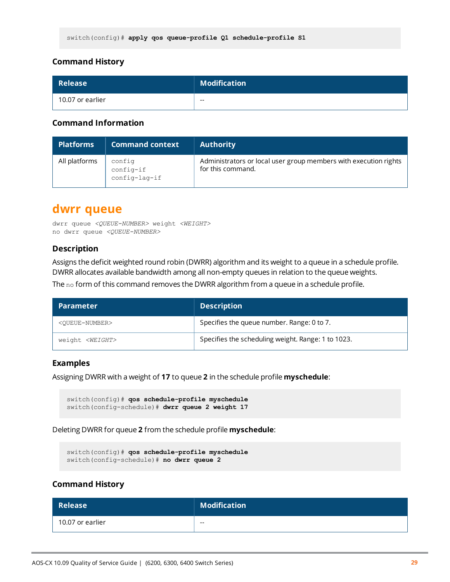| <b>Release</b>   | <b>Modification</b> |
|------------------|---------------------|
| 10.07 or earlier | $- -$               |

#### **Command Information**

| <b>Platforms</b> | <b>Command context</b>               | <b>Authority</b>                                                                      |
|------------------|--------------------------------------|---------------------------------------------------------------------------------------|
| All platforms    | config<br>config-if<br>config-lag-if | Administrators or local user group members with execution rights<br>for this command. |

### <span id="page-28-0"></span>**dwrr queue**

```
dwrr queue <QUEUE-NUMBER> weight <WEIGHT>
no dwrr queue <QUEUE-NUMBER>
```
#### **Description**

Assigns the deficit weighted round robin (DWRR) algorithm and its weight to a queue in a schedule profile. DWRR allocates available bandwidth among all non-empty queues in relation to the queue weights.

The no form of this command removes the DWRR algorithm from a queue in a schedule profile.

| Parameter <b>\</b>            | <b>Description</b>                                 |
|-------------------------------|----------------------------------------------------|
| <oueue-number></oueue-number> | Specifies the queue number. Range: 0 to 7.         |
| weight <weight></weight>      | Specifies the scheduling weight. Range: 1 to 1023. |

#### **Examples**

Assigning DWRR with a weight of **17** to queue **2** in the schedule profile **myschedule**:

```
switch(config)# qos schedule-profile myschedule
switch(config-schedule)# dwrr queue 2 weight 17
```
Deleting DWRR for queue **2** from the schedule profile **myschedule**:

```
switch(config)# qos schedule-profile myschedule
switch(config-schedule)# no dwrr queue 2
```
#### **Command History**

| <b>Release</b>   | <b>Modification</b> |
|------------------|---------------------|
| 10.07 or earlier | $- -$               |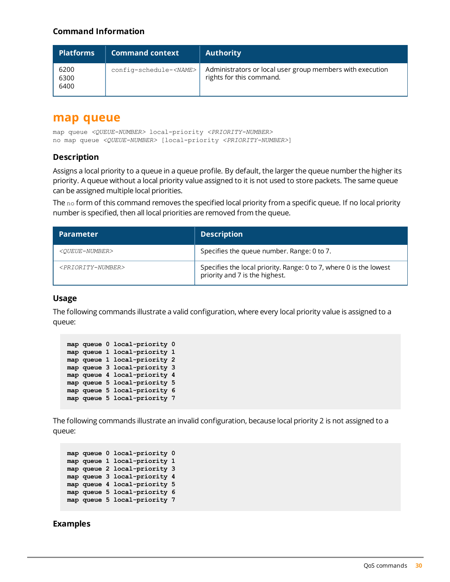#### **Command Information**

| <b>Platforms</b>     | <b>Command context</b>         | <b>Authority</b>                                                                      |
|----------------------|--------------------------------|---------------------------------------------------------------------------------------|
| 6200<br>6300<br>6400 | config-schedule- <name></name> | Administrators or local user group members with execution<br>rights for this command. |

### <span id="page-29-0"></span>**map queue**

map queue *<QUEUE-NUMBER>* local-priority *<PRIORITY-NUMBER>* no map queue *<QUEUE-NUMBER>* [local-priority *<PRIORITY-NUMBER>*]

#### **Description**

Assigns a local priority to a queue in a queue profile. By default, the larger the queue number the higher its priority. A queue without a local priority value assigned to it is not used to store packets. The same queue can be assigned multiple local priorities.

The no form of this command removes the specified local priority from a specific queue. If no local priority number is specified, then all local priorities are removed from the queue.

| <b>Parameter</b>                    | <b>Description</b>                                                                                   |
|-------------------------------------|------------------------------------------------------------------------------------------------------|
| <oueue-number></oueue-number>       | Specifies the queue number. Range: 0 to 7.                                                           |
| <priority-number></priority-number> | Specifies the local priority. Range: 0 to 7, where 0 is the lowest<br>priority and 7 is the highest. |

#### **Usage**

The following commands illustrate a valid configuration, where every local priority value is assigned to a queue:

|  | map queue 0 local-priority 0 |  |
|--|------------------------------|--|
|  | map queue 1 local-priority 1 |  |
|  | map queue 1 local-priority 2 |  |
|  | map queue 3 local-priority 3 |  |
|  | map queue 4 local-priority 4 |  |
|  | map queue 5 local-priority 5 |  |
|  | map queue 5 local-priority 6 |  |
|  | map queue 5 local-priority 7 |  |

The following commands illustrate an invalid configuration, because local priority 2 is not assigned to a queue:

```
map queue 0 local-priority 0
map queue 1 local-priority 1
map queue 2 local-priority 3
map queue 3 local-priority 4
map queue 4 local-priority 5
map queue 5 local-priority 6
map queue 5 local-priority 7
```
#### **Examples**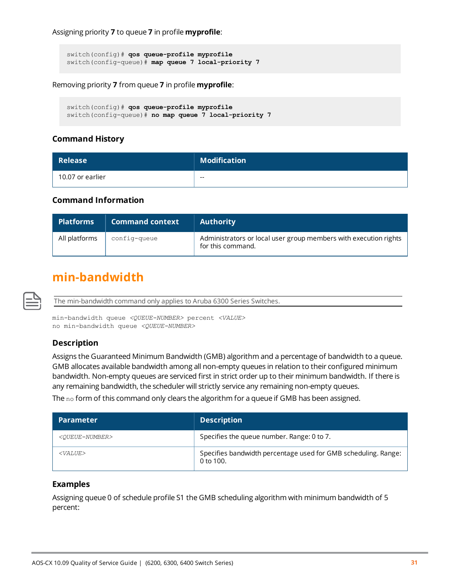Assigning priority **7** to queue **7** in profile **myprofile**:

```
switch(config)# qos queue-profile myprofile
switch(config-queue)# map queue 7 local-priority 7
```
Removing priority **7** from queue **7** in profile **myprofile**:

```
switch(config)# qos queue-profile myprofile
switch(config-queue)# no map queue 7 local-priority 7
```
#### **Command History**

| <b>Release</b>   | <b>Modification</b> |
|------------------|---------------------|
| 10.07 or earlier | $- -$               |

#### **Command Information**

| <b>Platforms</b> | <b>Command context</b> | <b>Authority</b>                                                                      |
|------------------|------------------------|---------------------------------------------------------------------------------------|
| All platforms    | config-queue           | Administrators or local user group members with execution rights<br>for this command. |

### <span id="page-30-0"></span>**min-bandwidth**

The min-bandwidth command only applies to Aruba 6300 Series Switches.

min-bandwidth queue *<QUEUE-NUMBER>* percent *<VALUE>* no min-bandwidth queue *<QUEUE-NUMBER>*

#### **Description**

Assigns the Guaranteed Minimum Bandwidth (GMB) algorithm and a percentage of bandwidth to a queue. GMB allocates available bandwidth among all non-empty queues in relation to their configured minimum bandwidth. Non-empty queues are serviced first in strict order up to their minimum bandwidth. If there is any remaining bandwidth, the scheduler will strictly service any remaining non-empty queues.

The no form of this command only clears the algorithm for a queue if GMB has been assigned.

| <b>Parameter</b>              | <b>Description</b>                                                            |
|-------------------------------|-------------------------------------------------------------------------------|
| <queue-number></queue-number> | Specifies the queue number. Range: 0 to 7.                                    |
| $<$ VALUE $>$                 | Specifies bandwidth percentage used for GMB scheduling. Range:<br>0 to $100.$ |

#### **Examples**

Assigning queue 0 of schedule profile S1 the GMB scheduling algorithm with minimum bandwidth of 5 percent: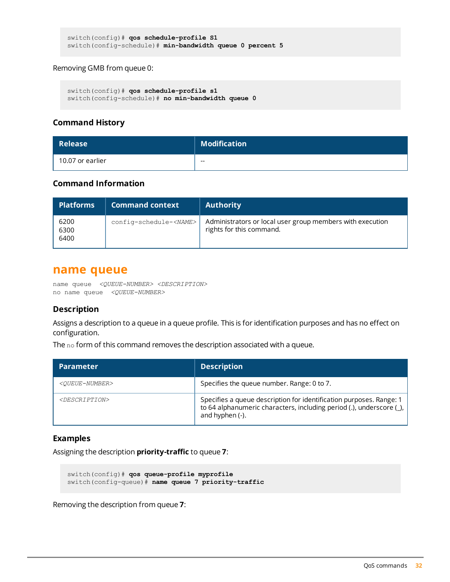```
switch(config)# qos schedule-profile S1
switch(config-schedule)# min-bandwidth queue 0 percent 5
```
#### Removing GMB from queue 0:

```
switch(config)# qos schedule-profile s1
switch(config-schedule)# no min-bandwidth queue 0
```
#### **Command History**

| <b>Release</b>   | <b>Modification</b> |
|------------------|---------------------|
| 10.07 or earlier | $- -$               |

#### **Command Information**

| <b>Platforms</b>     | <b>Command context</b>         | <b>Authority</b>                                                                      |
|----------------------|--------------------------------|---------------------------------------------------------------------------------------|
| 6200<br>6300<br>6400 | config-schedule- <name></name> | Administrators or local user group members with execution<br>rights for this command. |

#### <span id="page-31-0"></span>**name queue**

name queue *<QUEUE-NUMBER> <DESCRIPTION>* no name queue *<QUEUE-NUMBER>*

#### **Description**

Assigns a description to a queue in a queue profile. This is for identification purposes and has no effect on configuration.

The no form of this command removes the description associated with a queue.

| <b>Parameter</b>              | <b>Description</b>                                                                                                                                             |
|-------------------------------|----------------------------------------------------------------------------------------------------------------------------------------------------------------|
| <oueue-number></oueue-number> | Specifies the queue number. Range: 0 to 7.                                                                                                                     |
| <description></description>   | Specifies a queue description for identification purposes. Range: 1<br>to 64 alphanumeric characters, including period (.), underscore (_),<br>and hyphen (-). |

#### **Examples**

Assigning the description **priority-traffic** to queue **7**:

```
switch(config)# qos queue-profile myprofile
switch(config-queue)# name queue 7 priority-traffic
```
Removing the description from queue **7**: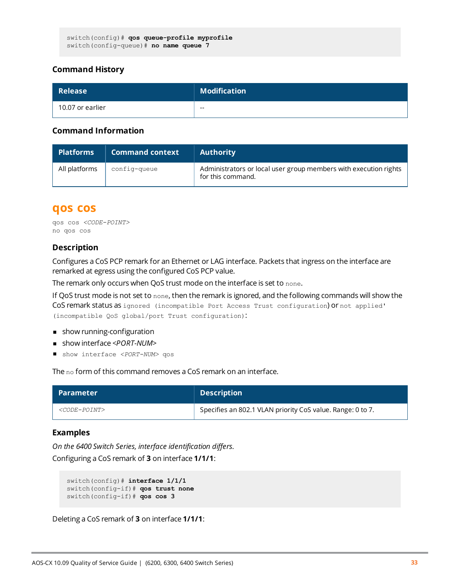| <b>Release</b>   | Modification |
|------------------|--------------|
| 10.07 or earlier | $- -$        |

#### **Command Information**

| <b>Platforms</b> | <b>Command context</b> | <b>Authority</b>                                                                      |
|------------------|------------------------|---------------------------------------------------------------------------------------|
| All platforms    | config-queue           | Administrators or local user group members with execution rights<br>for this command. |

### <span id="page-32-0"></span>**qos cos**

```
qos cos <CODE-POINT>
no qos cos
```
#### **Description**

Configures a CoS PCP remark for an Ethernet or LAG interface. Packets that ingress on the interface are remarked at egress using the configured CoS PCP value.

The remark only occurs when QoS trust mode on the interface is set to none.

If QoS trust mode is not set to none, then the remark is ignored, and the following commands will show the CoS remark status as ignored (incompatible Port Access Trust configuration) or not applied' (incompatible QoS global/port Trust configuration):

- $\blacksquare$  show running-configuration
- <sup>n</sup> show interface *<PORT-NUM>*
- show interface <PORT-NUM> qos

The no form of this command removes a CoS remark on an interface.

| <b>Parameter</b>                 | <b>Description</b>                                         |
|----------------------------------|------------------------------------------------------------|
| <i><code-point></code-point></i> | Specifies an 802.1 VLAN priority CoS value. Range: 0 to 7. |

#### **Examples**

*On the 6400 Switch Series, interface identification differs.* Configuring a CoS remark of **3** on interface **1/1/1**:

```
switch(config)# interface 1/1/1
switch(config-if)# qos trust none
switch(config-if)# qos cos 3
```
Deleting a CoS remark of **3** on interface **1/1/1**: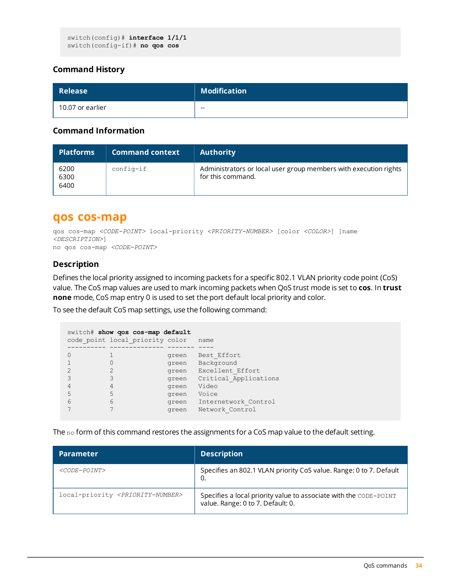```
switch(config)# interface 1/1/1
switch(config-if)# no qos cos
```

| <b>Release</b>   | <b>Modification</b> |
|------------------|---------------------|
| 10.07 or earlier | $- -$               |

#### **Command Information**

| <b>Platforms</b>     | <b>Command context</b> | <b>Authority</b>                                                                      |
|----------------------|------------------------|---------------------------------------------------------------------------------------|
| 6200<br>6300<br>6400 | $config-if$            | Administrators or local user group members with execution rights<br>for this command. |

### <span id="page-33-0"></span>**qos cos-map**

```
qos cos-map <CODE-POINT> local-priority <PRIORITY-NUMBER> [color <COLOR>] [name
<DESCRIPTION>]
no qos cos-map <CODE-POINT>
```
#### **Description**

Defines the local priority assigned to incoming packets for a specific 802.1 VLAN priority code point (CoS) value. The CoS map values are used to mark incoming packets when QoS trust mode is set to **cos**. In **trust none** mode, CoS map entry 0 is used to set the port default local priority and color.

To see the default CoS map settings, use the following command:

|        | switch# show gos cos-map default<br>code point local priority color |                                                             | name                                                                                                             |
|--------|---------------------------------------------------------------------|-------------------------------------------------------------|------------------------------------------------------------------------------------------------------------------|
|        |                                                                     |                                                             |                                                                                                                  |
| 5<br>6 | 5<br>6                                                              | green<br>green<br>green<br>green<br>green<br>green<br>green | Best Effort<br>Background<br>Excellent Effort<br>Critical Applications<br>Video<br>Voice<br>Internetwork Control |
|        |                                                                     | green                                                       | Network Control                                                                                                  |

The no form of this command restores the assignments for a CoS map value to the default setting.

| <b>Parameter</b>                                   | <b>Description</b>                                                                                     |
|----------------------------------------------------|--------------------------------------------------------------------------------------------------------|
| $\langle\mathit{CODE-POINT}\rangle$                | Specifies an 802.1 VLAN priority CoS value. Range: 0 to 7. Default                                     |
| local-priority <priority-number></priority-number> | Specifies a local priority value to associate with the CODE-POINT<br>value. Range: 0 to 7. Default: 0. |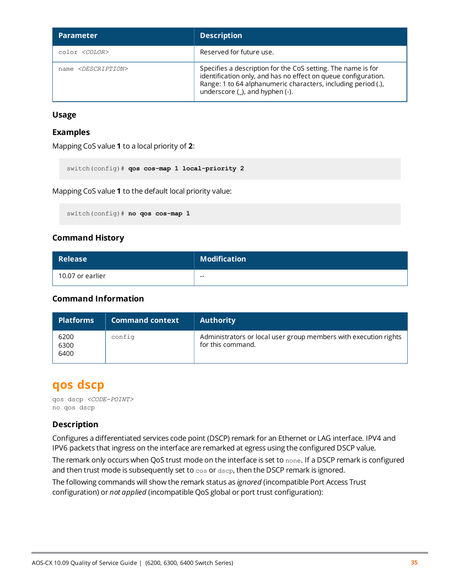| <b>Parameter</b>                 | <b>Description</b>                                                                                                                                                                                                                         |
|----------------------------------|--------------------------------------------------------------------------------------------------------------------------------------------------------------------------------------------------------------------------------------------|
| color <color></color>            | Reserved for future use.                                                                                                                                                                                                                   |
| name <description></description> | Specifies a description for the CoS setting. The name is for<br>identification only, and has no effect on queue configuration.<br>Range: 1 to 64 alphanumeric characters, including period (.),<br>underscore $(\_)$ , and hyphen $(\-)$ . |

#### **Usage**

#### **Examples**

Mapping CoS value **1** to a local priority of **2**:

switch(config)# **qos cos-map 1 local-priority 2**

Mapping CoS value **1** to the default local priority value:

switch(config)# **no qos cos-map 1**

#### **Command History**

| <b>Release</b>   | <b>Modification</b> |
|------------------|---------------------|
| 10.07 or earlier | $- -$               |

#### **Command Information**

| <b>Platforms</b>     | <b>Command context</b> | <b>Authority</b>                                                                      |
|----------------------|------------------------|---------------------------------------------------------------------------------------|
| 6200<br>6300<br>6400 | config                 | Administrators or local user group members with execution rights<br>for this command. |

### <span id="page-34-0"></span>**qos dscp**

qos dscp *<CODE-POINT>* no qos dscp

#### **Description**

Configures a differentiated services code point (DSCP) remark for an Ethernet or LAG interface. IPV4 and IPV6 packets that ingress on the interface are remarked at egress using the configured DSCP value.

The remark only occurs when QoS trust mode on the interface is set to none. If a DSCP remark is configured and then trust mode is subsequently set to  $\cos$  or  $\text{dsep}$ , then the DSCP remark is ignored.

The following commands will show the remark status as *ignored* (incompatible Port Access Trust configuration) or *not applied* (incompatible QoS global or port trust configuration):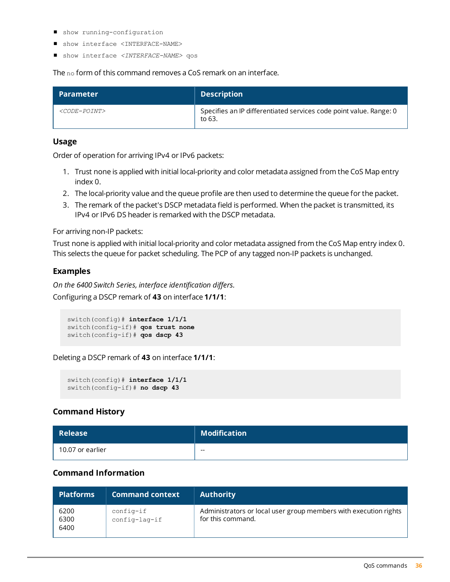- show running-configuration
- show interface <INTERFACE-NAME>
- show interface <INTERFACE-NAME> qos

The no form of this command removes a CoS remark on an interface.

| <b>Parameter</b>          | <b>Description</b>                                                           |
|---------------------------|------------------------------------------------------------------------------|
| <code-point></code-point> | Specifies an IP differentiated services code point value. Range: 0<br>to 63. |

#### **Usage**

Order of operation for arriving IPv4 or IPv6 packets:

- 1. Trust none is applied with initial local-priority and color metadata assigned from the CoS Map entry index 0.
- 2. The local-priority value and the queue profile are then used to determine the queue for the packet.
- 3. The remark of the packet's DSCP metadata field is performed. When the packet is transmitted, its IPv4 or IPv6 DS header is remarked with the DSCP metadata.

For arriving non-IP packets:

Trust none is applied with initial local-priority and color metadata assigned from the CoS Map entry index 0. This selects the queue for packet scheduling. The PCP of any tagged non-IP packets is unchanged.

#### **Examples**

*On the 6400 Switch Series, interface identification differs.* Configuring a DSCP remark of **43** on interface **1/1/1**:

```
switch(config)# interface 1/1/1
switch(config-if)# qos trust none
switch(config-if)# qos dscp 43
```
Deleting a DSCP remark of **43** on interface **1/1/1**:

```
switch(config)# interface 1/1/1
switch(config-if)# no dscp 43
```
#### **Command History**

| <b>Release</b>   | <b>Modification</b> |
|------------------|---------------------|
| 10.07 or earlier | $- -$               |

#### **Command Information**

| <b>Platforms</b>     | <b>Command context</b>        | <b>Authority</b>                                                                      |
|----------------------|-------------------------------|---------------------------------------------------------------------------------------|
| 6200<br>6300<br>6400 | config-if<br>$config$ -laq-if | Administrators or local user group members with execution rights<br>for this command. |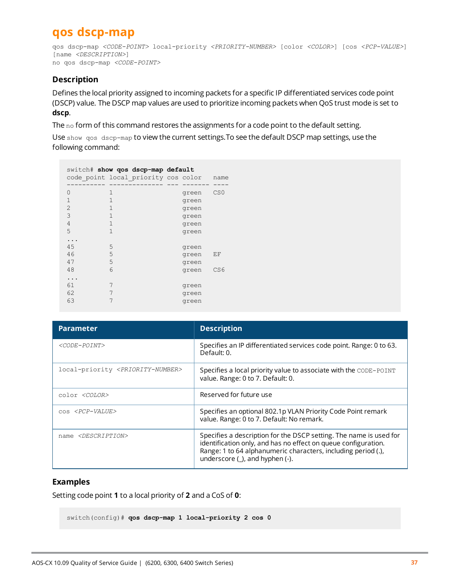# <span id="page-36-0"></span>**qos dscp-map**

```
qos dscp-map <CODE-POINT> local-priority <PRIORITY-NUMBER> [color <COLOR>] [cos <PCP-VALUE>]
[name <DESCRIPTION>]
no qos dscp-map <CODE-POINT>
```
#### **Description**

Defines the local priority assigned to incoming packets for a specific IP differentiated services code point (DSCP) value. The DSCP map values are used to prioritize incoming packets when QoS trust mode is set to **dscp**.

The no form of this command restores the assignments for a code point to the default setting.

Use show qos dscp-map to view the current settings.To see the default DSCP map settings, use the following command:

| switch# show qos dscp-map default<br>code point local priority cos color |                            |  |                                                    | name            |
|--------------------------------------------------------------------------|----------------------------|--|----------------------------------------------------|-----------------|
| 0<br>1<br>$\overline{2}$<br>3<br>4<br>5                                  | 1<br>1<br>1<br>1<br>1<br>1 |  | green<br>green<br>green<br>green<br>green<br>green | CS <sub>0</sub> |
| 45<br>46<br>47<br>48                                                     | 5<br>5<br>5<br>6           |  | green<br>green<br>green<br>green                   | ΕF<br>CS6       |
| 61<br>62<br>63                                                           | 7<br>7<br>7                |  | green<br>green<br>green                            |                 |

| <b>Parameter</b>                                   | <b>Description</b>                                                                                                                                                                                                                               |
|----------------------------------------------------|--------------------------------------------------------------------------------------------------------------------------------------------------------------------------------------------------------------------------------------------------|
| $\langle CODE-POINT\rangle$                        | Specifies an IP differentiated services code point. Range: 0 to 63.<br>Default: 0.                                                                                                                                                               |
| local-priority <priority-number></priority-number> | Specifies a local priority value to associate with the CODE-POINT<br>value. Range: 0 to 7. Default: 0.                                                                                                                                           |
| color <color></color>                              | Reserved for future use                                                                                                                                                                                                                          |
| COS <pcp-value></pcp-value>                        | Specifies an optional 802.1p VLAN Priority Code Point remark<br>value. Range: 0 to 7. Default: No remark.                                                                                                                                        |
| name <description></description>                   | Specifies a description for the DSCP setting. The name is used for<br>identification only, and has no effect on queue configuration.<br>Range: 1 to 64 alphanumeric characters, including period (.),<br>underscore $(\_)$ , and hyphen $(\-)$ . |

#### **Examples**

Setting code point **1** to a local priority of **2** and a CoS of **0**:

switch(config)# **qos dscp-map 1 local-priority 2 cos 0**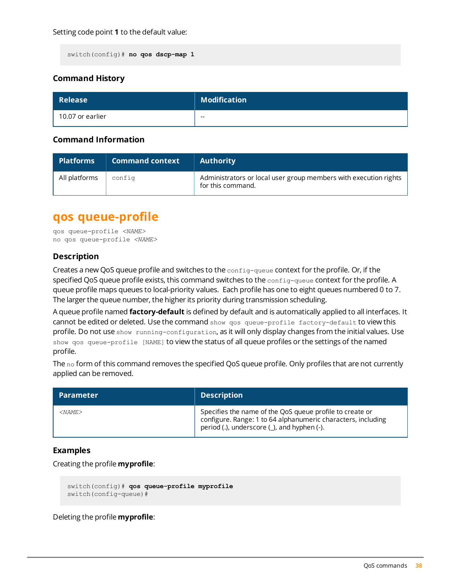switch(config)# **no qos dscp-map 1**

#### **Command History**

| <b>Release</b>   | $\blacksquare$ Modification $\blacksquare$ |
|------------------|--------------------------------------------|
| 10.07 or earlier | $- -$                                      |

#### **Command Information**

| <b>Platforms</b> | <b>Command context</b> | <b>Authority</b>                                                                      |
|------------------|------------------------|---------------------------------------------------------------------------------------|
| All platforms    | config                 | Administrators or local user group members with execution rights<br>for this command. |

### <span id="page-37-0"></span>**qos queue-profile**

qos queue-profile *<NAME>* no qos queue-profile *<NAME>*

#### **Description**

Creates a new QoS queue profile and switches to the config-queue context for the profile. Or, if the specified QoS queue profile exists, this command switches to the config-queue context for the profile. A queue profile maps queues to local-priority values. Each profile has one to eight queues numbered 0 to 7. The larger the queue number, the higher its priority during transmission scheduling.

A queue profile named **factory-default** is defined by default and is automatically applied to all interfaces. It cannot be edited or deleted. Use the command show gos queue-profile factory-default to view this profile. Do not use show running-configuration, as it will only display changes from the initial values. Use show qos queue-profile [NAME] to view the status of all queue profiles or the settings of the named profile.

The no form of this command removes the specified QoS queue profile. Only profiles that are not currently applied can be removed.

| Parameter <b>I</b> | <b>Description</b>                                                                                                                                                      |
|--------------------|-------------------------------------------------------------------------------------------------------------------------------------------------------------------------|
| $<$ NAME $>$       | Specifies the name of the QoS queue profile to create or<br>configure. Range: 1 to 64 alphanumeric characters, including<br>period (.), underscore (_), and hyphen (-). |

#### **Examples**

Creating the profile **myprofile**:

```
switch(config)# qos queue-profile myprofile
switch(config-queue)#
```
Deleting the profile **myprofile**: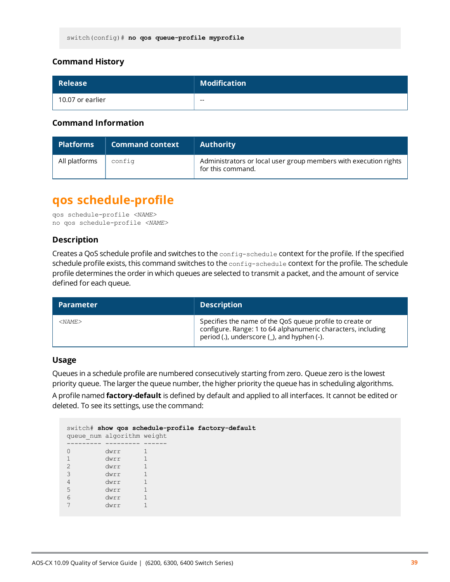| <b>Release</b>   | <b>Modification</b> |
|------------------|---------------------|
| 10.07 or earlier | $- -$               |

#### **Command Information**

| <b>Platforms</b> | <b>Command context</b> | <b>Authority</b>                                                                      |
|------------------|------------------------|---------------------------------------------------------------------------------------|
| All platforms    | config                 | Administrators or local user group members with execution rights<br>for this command. |

# <span id="page-38-0"></span>**qos schedule-profile**

```
qos schedule-profile <NAME>
no qos schedule-profile <NAME>
```
#### **Description**

Creates a QoS schedule profile and switches to the config-schedule context for the profile. If the specified schedule profile exists, this command switches to the config-schedule context for the profile. The schedule profile determines the order in which queues are selected to transmit a packet, and the amount of service defined for each queue.

| <b>Parameter</b> | <b>Description</b>                                                                                                                                                      |
|------------------|-------------------------------------------------------------------------------------------------------------------------------------------------------------------------|
| $<$ NAME $>$     | Specifies the name of the QoS queue profile to create or<br>configure. Range: 1 to 64 alphanumeric characters, including<br>period (.), underscore (_), and hyphen (-). |

#### **Usage**

Queues in a schedule profile are numbered consecutively starting from zero. Queue zero is the lowest priority queue. The larger the queue number, the higher priority the queue has in scheduling algorithms.

A profile named **factory-default** is defined by default and applied to all interfaces. It cannot be edited or deleted. To see its settings, use the command:

|   |                            | switch# show gos schedule-profile factory-default |
|---|----------------------------|---------------------------------------------------|
|   | queue num algorithm weight |                                                   |
|   |                            |                                                   |
|   | dwrr                       |                                                   |
|   | dwrr                       |                                                   |
| 2 | dwrr                       |                                                   |
| 3 | dwrr                       |                                                   |
| 4 | dwrr                       |                                                   |
| 5 | dwrr                       |                                                   |
| 6 | dwrr                       |                                                   |
|   | dwrr                       |                                                   |
|   |                            |                                                   |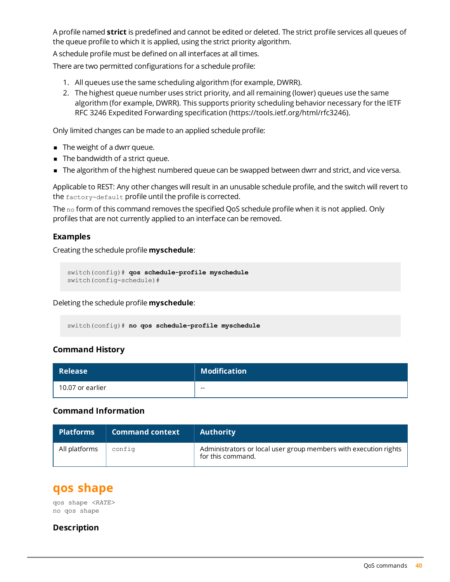A profile named **strict** is predefined and cannot be edited or deleted. The strict profile services all queues of the queue profile to which it is applied, using the strict priority algorithm.

A schedule profile must be defined on all interfaces at all times.

There are two permitted configurations for a schedule profile:

- 1. All queues use the same scheduling algorithm (for example, DWRR).
- 2. The highest queue number uses strict priority, and all remaining (lower) queues use the same algorithm (for example, DWRR). This supports priority scheduling behavior necessary for the IETF RFC 3246 Expedited Forwarding specification (https://tools.ietf.org/html/rfc3246).

Only limited changes can be made to an applied schedule profile:

- $\blacksquare$  The weight of a dwrr queue.
- $\blacksquare$  The bandwidth of a strict queue.
- n The algorithm of the highest numbered queue can be swapped between dwrr and strict, and vice versa.

Applicable to REST: Any other changes will result in an unusable schedule profile, and the switch will revert to the factory-default profile until the profile is corrected.

The  $no$  form of this command removes the specified QoS schedule profile when it is not applied. Only profiles that are not currently applied to an interface can be removed.

#### **Examples**

Creating the schedule profile **myschedule**:

```
switch(config)# qos schedule-profile myschedule
switch(config-schedule)#
```
Deleting the schedule profile **myschedule**:

switch(config)# **no qos schedule-profile myschedule**

#### **Command History**

| <b>Release</b>   | <b>Modification</b> |
|------------------|---------------------|
| 10.07 or earlier | $- -$               |

#### **Command Information**

| <b>Platforms</b> | <b>Command context</b> | <b>Authority</b>                                                                      |
|------------------|------------------------|---------------------------------------------------------------------------------------|
| All platforms    | config                 | Administrators or local user group members with execution rights<br>for this command. |

### <span id="page-39-0"></span>**qos shape**

qos shape *<RATE>* no qos shape

#### **Description**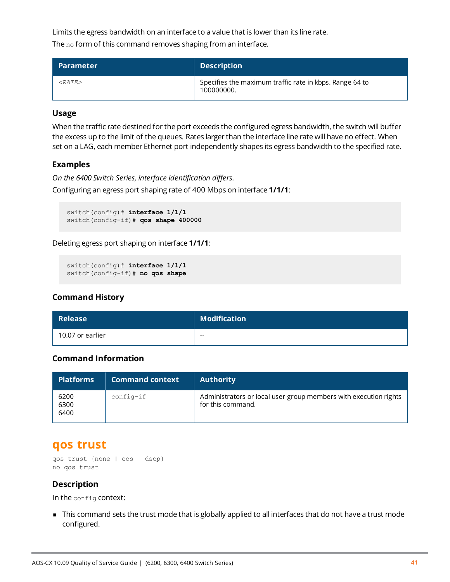Limits the egress bandwidth on an interface to a value that is lower than its line rate.

The no form of this command removes shaping from an interface.

| <b>Parameter</b> | <b>Description</b>                                                    |
|------------------|-----------------------------------------------------------------------|
| ${<}RATF$ >      | Specifies the maximum traffic rate in kbps. Range 64 to<br>100000000. |

#### **Usage**

When the traffic rate destined for the port exceeds the configured egress bandwidth, the switch will buffer the excess up to the limit of the queues. Rates larger than the interface line rate will have no effect. When set on a LAG, each member Ethernet port independently shapes its egress bandwidth to the specified rate.

#### **Examples**

*On the 6400 Switch Series, interface identification differs.* Configuring an egress port shaping rate of 400 Mbps on interface **1/1/1**:

```
switch(config)# interface 1/1/1
switch(config-if)# qos shape 400000
```
Deleting egress port shaping on interface **1/1/1**:

```
switch(config)# interface 1/1/1
switch(config-if)# no qos shape
```
#### **Command History**

| <b>Release</b>   | <b>Modification</b> |
|------------------|---------------------|
| 10.07 or earlier | $- -$               |

#### **Command Information**

| Platforms            | <b>Command context</b> | <b>Authority</b>                                                                      |
|----------------------|------------------------|---------------------------------------------------------------------------------------|
| 6200<br>6300<br>6400 | $config-if$            | Administrators or local user group members with execution rights<br>for this command. |

### <span id="page-40-0"></span>**qos trust**

```
qos trust {none | cos | dscp}
no qos trust
```
#### **Description**

In the config context:

<sup>n</sup> This command sets the trust mode that is globally applied to all interfaces that do not have a trust mode configured.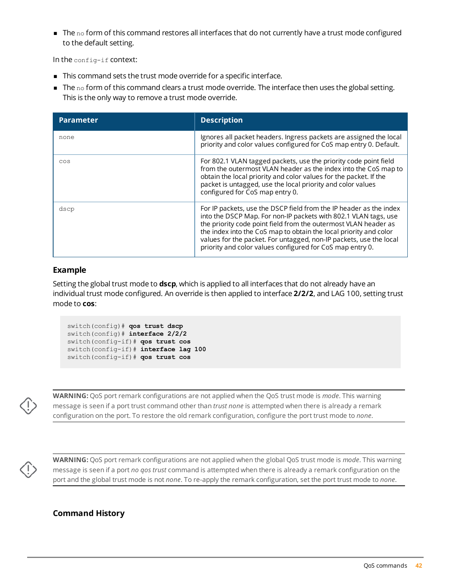$\blacksquare$  The no form of this command restores all interfaces that do not currently have a trust mode configured to the default setting.

In the config-if context:

- $\blacksquare$  This command sets the trust mode override for a specific interface.
- $\blacksquare$  The no form of this command clears a trust mode override. The interface then uses the global setting. This is the only way to remove a trust mode override.

| <b>Parameter</b> | <b>Description</b>                                                                                                                                                                                                                                                                                                                                                                                               |
|------------------|------------------------------------------------------------------------------------------------------------------------------------------------------------------------------------------------------------------------------------------------------------------------------------------------------------------------------------------------------------------------------------------------------------------|
| none             | Ignores all packet headers. Ingress packets are assigned the local<br>priority and color values configured for CoS map entry 0. Default.                                                                                                                                                                                                                                                                         |
| COS              | For 802.1 VLAN tagged packets, use the priority code point field<br>from the outermost VLAN header as the index into the CoS map to<br>obtain the local priority and color values for the packet. If the<br>packet is untagged, use the local priority and color values<br>configured for CoS map entry 0.                                                                                                       |
| dscp             | For IP packets, use the DSCP field from the IP header as the index<br>into the DSCP Map. For non-IP packets with 802.1 VLAN tags, use<br>the priority code point field from the outermost VLAN header as<br>the index into the CoS map to obtain the local priority and color<br>values for the packet. For untagged, non-IP packets, use the local<br>priority and color values configured for CoS map entry 0. |

#### **Example**

Setting the global trust mode to **dscp**, which is applied to all interfaces that do not already have an individual trust mode configured. An override is then applied to interface **2/2/2**, and LAG 100, setting trust mode to **cos**:

```
switch(config)# qos trust dscp
switch(config)# interface 2/2/2
switch(config-if)# qos trust cos
switch(config-if)# interface lag 100
switch(config-if)# qos trust cos
```


**WARNING:** QoS port remark configurations are not applied when the QoS trust mode is *mode*. This warning message is seen if a port trust command other than *trust none* is attempted when there is already a remark configuration on the port. To restore the old remark configuration, configure the port trust mode to *none*.



**WARNING:** QoS port remark configurations are not applied when the global QoS trust mode is *mode*. This warning message is seen if a port *no qos trust* command is attempted when there is already a remark configuration on the port and the global trust mode is not *none*. To re-apply the remark configuration, set the port trust mode to *none*.

#### **Command History**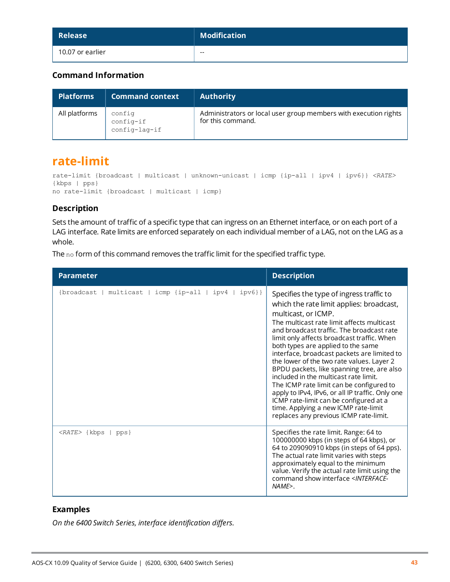| Release          | $\parallel$ Modification |
|------------------|--------------------------|
| 10.07 or earlier | $- -$                    |

#### **Command Information**

| <b>Platforms</b> | <b>Command context</b>               | <b>Authority</b>                                                                      |
|------------------|--------------------------------------|---------------------------------------------------------------------------------------|
| All platforms    | config<br>config-if<br>config-lag-if | Administrators or local user group members with execution rights<br>for this command. |

### <span id="page-42-0"></span>**rate-limit**

```
rate-limit {broadcast | multicast | unknown-unicast | icmp {ip-all | ipv4 | ipv6}} <RATE>
{kbps | pps}
no rate-limit {broadcast | multicast | icmp}
```
#### **Description**

Sets the amount of traffic of a specific type that can ingress on an Ethernet interface, or on each port of a LAG interface. Rate limits are enforced separately on each individual member of a LAG, not on the LAG as a whole.

The no form of this command removes the traffic limit for the specified traffic type.

| <b>Parameter</b>                                             | <b>Description</b>                                                                                                                                                                                                                                                                                                                                                                                                                                                                                                                                                                                                                                                                                        |
|--------------------------------------------------------------|-----------------------------------------------------------------------------------------------------------------------------------------------------------------------------------------------------------------------------------------------------------------------------------------------------------------------------------------------------------------------------------------------------------------------------------------------------------------------------------------------------------------------------------------------------------------------------------------------------------------------------------------------------------------------------------------------------------|
| {broadcast   multicast   icmp {ip-all  <br>ipv4  <br>$ipv6}$ | Specifies the type of ingress traffic to<br>which the rate limit applies: broadcast,<br>multicast, or ICMP.<br>The multicast rate limit affects multicast<br>and broadcast traffic. The broadcast rate<br>limit only affects broadcast traffic. When<br>both types are applied to the same<br>interface, broadcast packets are limited to<br>the lower of the two rate values. Layer 2<br>BPDU packets, like spanning tree, are also<br>included in the multicast rate limit.<br>The ICMP rate limit can be configured to<br>apply to IPv4, IPv6, or all IP traffic. Only one<br>ICMP rate-limit can be configured at a<br>time. Applying a new ICMP rate-limit<br>replaces any previous ICMP rate-limit. |
| <rate> {kbps   pps}</rate>                                   | Specifies the rate limit. Range: 64 to<br>100000000 kbps (in steps of 64 kbps), or<br>64 to 209090910 kbps (in steps of 64 pps).<br>The actual rate limit varies with steps<br>approximately equal to the minimum<br>value. Verify the actual rate limit using the<br>command show interface <interface-<br><math>NAME</math>.</interface-<br>                                                                                                                                                                                                                                                                                                                                                            |

#### **Examples**

*On the 6400 Switch Series, interface identification differs.*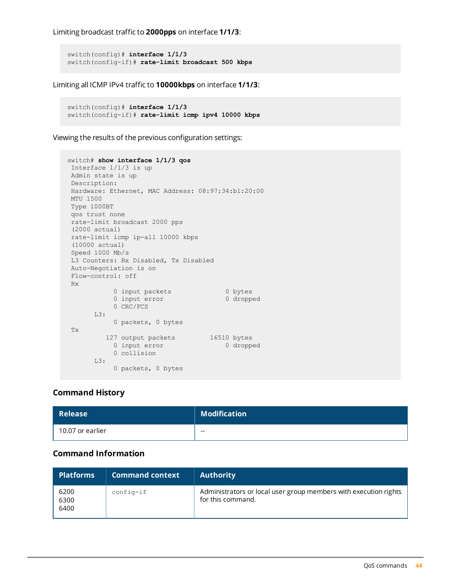Limiting broadcast traffic to **2000pps** on interface **1/1/3**:

```
switch(config)# interface 1/1/3
switch(config-if)# rate-limit broadcast 500 kbps
```
Limiting all ICMP IPv4 traffic to **10000kbps** on interface **1/1/3**:

```
switch(config)# interface 1/1/3
switch(config-if)# rate-limit icmp ipv4 10000 kbps
```
Viewing the results of the previous configuration settings:

```
switch# show interface 1/1/3 qos
Interface 1/1/3 is up
Admin state is up
Description:
Hardware: Ethernet, MAC Address: 08:97:34:b1:20:00
MTU 1500
Type 1000BT
qos trust none
rate-limit broadcast 2000 pps
(2000 actual)
rate-limit icmp ip-all 10000 kbps
(10000 actual)
Speed 1000 Mb/s
L3 Counters: Rx Disabled, Tx Disabled
Auto-Negotiation is on
Flow-control: off
Rx
           0 input packets 0 bytes
           0 input error 0 dropped
          0 CRC/FCS
     L3:
          0 packets, 0 bytes
Tx
         127 output packets 16510 bytes
           0 input error 0 dropped
          0 collision
      L3:
          0 packets, 0 bytes
```
#### **Command History**

| Release          | <b>Modification</b> |
|------------------|---------------------|
| 10.07 or earlier | $- -$               |

#### **Command Information**

| <b>Platforms</b>     | <b>Command context</b> | <b>Authority</b>                                                                      |
|----------------------|------------------------|---------------------------------------------------------------------------------------|
| 6200<br>6300<br>6400 | $config-if$            | Administrators or local user group members with execution rights<br>for this command. |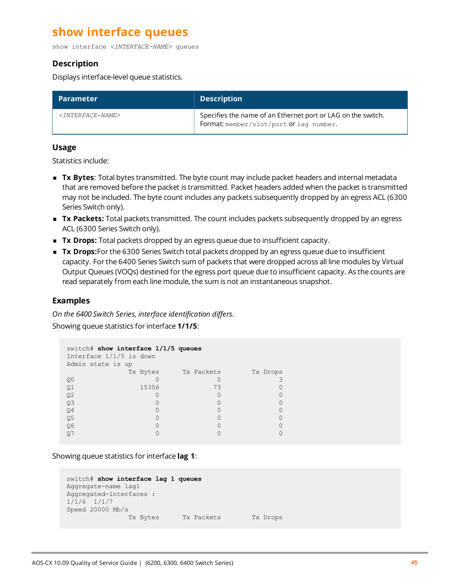# <span id="page-44-0"></span>**show interface queues**

show interface *<INTERFACE-NAME>* queues

#### **Description**

Displays interface-level queue statistics.

| <b>Parameter</b>                  | <b>Description</b>                                                                                      |
|-----------------------------------|---------------------------------------------------------------------------------------------------------|
| <interface-name></interface-name> | Specifies the name of an Ethernet port or LAG on the switch.<br>Format: member/slot/port or lag number. |

#### **Usage**

Statistics include:

- **Tx Bytes**: Total bytes transmitted. The byte count may include packet headers and internal metadata that are removed before the packet is transmitted. Packet headers added when the packet is transmitted may not be included. The byte count includes any packets subsequently dropped by an egress ACL (6300 Series Switch only).
- **Tx Packets:** Total packets transmitted. The count includes packets subsequently dropped by an egress ACL (6300 Series Switch only).
- **Tx Drops:** Total packets dropped by an egress queue due to insufficient capacity.
- **Tx Drops:** For the 6300 Series Switch total packets dropped by an egress queue due to insufficient capacity. For the 6400 Series Switch sum of packets that were dropped across all line modules by Virtual Output Queues (VOQs) destined for the egress port queue due to insufficient capacity. As the counts are read separately from each line module, the sum is not an instantaneous snapshot.

#### **Examples**

*On the 6400 Switch Series, interface identification differs.*

Showing queue statistics for interface **1/1/5**:

```
switch# show interface 1/1/5 queues
Interface 1/1/5 is down
Admin state is up<br>Tx Bytes
                 Tx Packets Tx Drops
\begin{array}{ccccccc}\n 0 & & & & 0 & & & 3 \\
 0 & & & & & 3 & & 0 \\
 01 & & & & & 15356 & & & & 73 & & & 0\n \end{array}Q1 15356 73<br>Q2 0 0
Q2 0 0 0
Q3 0 0 0
\mathbb{Q}4 0 0 0 0 0
Q5 0 0 0
Q6 0 0 0
\overline{Q7} 0 0 0 0 0
```
Showing queue statistics for interface **lag 1**:

```
switch# show interface lag 1 queues
Aggregate-name lag1
Aggregated-interfaces :
1/1/6 1/1/7
Speed 20000 Mb/s
             Tx Bytes Tx Packets Tx Drops
```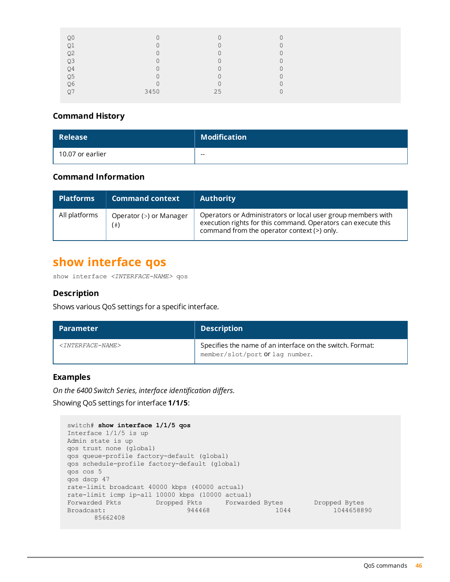| Q <sub>0</sub> | $\mathbf{0}$ | $\mathbf 0$ | 0           |
|----------------|--------------|-------------|-------------|
| Q1             | $\mathbf 0$  | $\Omega$    |             |
| Q <sub>2</sub> | $\Omega$     | $\cap$<br>U | $\sim$<br>U |
| Q <sub>3</sub> | 0            | $\Omega$    | U           |
| Q <sub>4</sub> | $\mathbf 0$  | 0           | $\sim$<br>U |
| Q <sub>5</sub> | $\mathbf{0}$ | 0           | ∩           |
| Q6             | $\mathbf 0$  | $\bigcap$   | $\sim$      |
|                | 3450         | 25          | $\sim$      |
|                |              |             |             |

| <b>Release</b>   | <b>Modification</b> |
|------------------|---------------------|
| 10.07 or earlier | $- -$               |

#### **Command Information**

| <b>Platforms</b> | <b>Command context</b>              | <b>Authority</b>                                                                                                                                                             |
|------------------|-------------------------------------|------------------------------------------------------------------------------------------------------------------------------------------------------------------------------|
| All platforms    | Operator (>) or Manager<br>$^{(*)}$ | Operators or Administrators or local user group members with<br>execution rights for this command. Operators can execute this<br>command from the operator context (>) only. |

### <span id="page-45-0"></span>**show interface qos**

show interface *<INTERFACE-NAME>* qos

#### **Description**

Shows various QoS settings for a specific interface.

| <b>Parameter</b>                         | <b>Description</b>                                                                           |
|------------------------------------------|----------------------------------------------------------------------------------------------|
| <i><tnterface-name></tnterface-name></i> | Specifies the name of an interface on the switch. Format:<br>member/slot/port Or lag number. |

#### **Examples**

*On the 6400 Switch Series, interface identification differs.*

Showing QoS settings for interface **1/1/5**:

```
switch# show interface 1/1/5 qos
Interface 1/1/5 is up
Admin state is up
qos trust none (global)
qos queue-profile factory-default (global)
qos schedule-profile factory-default (global)
qos cos 5
qos dscp 47
rate-limit broadcast 40000 kbps (40000 actual)
rate-limit icmp ip-all 10000 kbps (10000 actual)
Forwarded Pkts Dropped Pkts Forwarded Bytes Dropped Bytes
Broadcast: 1044658890 944468 1044 1044658890
     85662408
```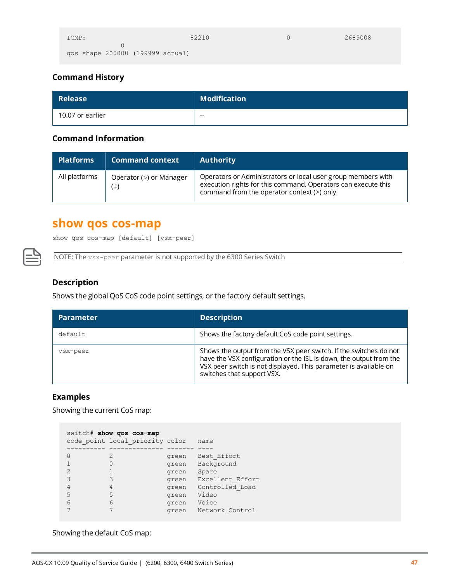| ICMP:                            | 82210 | 2689008 |
|----------------------------------|-------|---------|
|                                  |       |         |
| qos shape 200000 (199999 actual) |       |         |

| Release          | <b>Modification</b> |
|------------------|---------------------|
| 10.07 or earlier | $- -$               |

#### **Command Information**

| <b>Platforms</b> | <b>Command context</b>              | <b>Authority</b>                                                                                                                                                             |
|------------------|-------------------------------------|------------------------------------------------------------------------------------------------------------------------------------------------------------------------------|
| All platforms    | Operator (>) or Manager<br>$^{(*)}$ | Operators or Administrators or local user group members with<br>execution rights for this command. Operators can execute this<br>command from the operator context (>) only. |

# <span id="page-46-0"></span>**show qos cos-map**

show qos cos-map [default] [vsx-peer]

NOTE: The vsx-peer parameter is not supported by the 6300 Series Switch

#### **Description**

Shows the global QoS CoS code point settings, or the factory default settings.

| <b>Parameter</b> | <b>Description</b>                                                                                                                                                                                                                        |
|------------------|-------------------------------------------------------------------------------------------------------------------------------------------------------------------------------------------------------------------------------------------|
| default.         | Shows the factory default CoS code point settings.                                                                                                                                                                                        |
| vsx-peer         | Shows the output from the VSX peer switch. If the switches do not<br>have the VSX configuration or the ISL is down, the output from the<br>VSX peer switch is not displayed. This parameter is available on<br>switches that support VSX. |

#### **Examples**

Showing the current CoS map:

|   | switch# show qos cos-map        |       |                  |
|---|---------------------------------|-------|------------------|
|   | code point local priority color |       | name             |
|   |                                 |       |                  |
|   | 2                               | green | Best Effort      |
|   |                                 | green | Background       |
|   |                                 | green | Spare            |
|   | 3                               | green | Excellent Effort |
|   |                                 | green | Controlled Load  |
| 5 | 5                               | green | Video            |
| 6 | 6                               | green | Voice            |
|   |                                 | green | Network Control  |

Showing the default CoS map: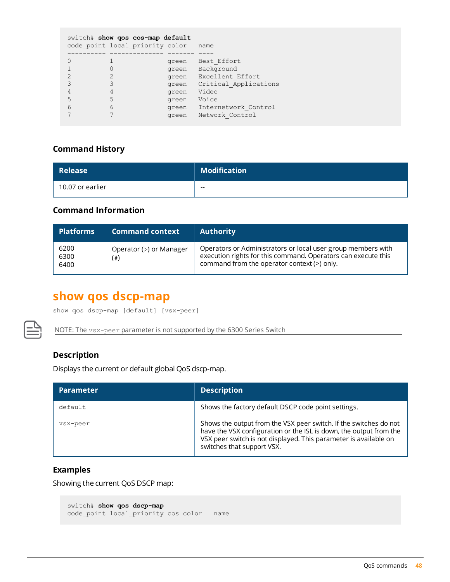|   | switch# show gos cos-map default<br>code point local priority color |       | name                  |
|---|---------------------------------------------------------------------|-------|-----------------------|
|   |                                                                     | green | Best Effort           |
|   |                                                                     | green | Background            |
|   |                                                                     | green | Excellent Effort      |
|   |                                                                     | green | Critical Applications |
|   | 4                                                                   | green | Video                 |
|   | 5                                                                   | green | Voice                 |
| 6 | 6                                                                   | green | Internetwork Control  |
|   |                                                                     | green | Network Control       |

| Release          | Modification |
|------------------|--------------|
| 10.07 or earlier | $- -$        |

#### **Command Information**

| <b>Platforms</b>     | <b>Command context</b>         | <b>Authority</b>                                                                                                                                                             |
|----------------------|--------------------------------|------------------------------------------------------------------------------------------------------------------------------------------------------------------------------|
| 6200<br>6300<br>6400 | Operator (>) or Manager<br>(#) | Operators or Administrators or local user group members with<br>execution rights for this command. Operators can execute this<br>command from the operator context (>) only. |

# <span id="page-47-0"></span>**show qos dscp-map**

```
show qos dscp-map [default] [vsx-peer]
```
NOTE: The vsx-peer parameter is not supported by the 6300 Series Switch

#### **Description**

Displays the current or default global QoS dscp-map.

| <b>Parameter</b> | <b>Description</b>                                                                                                                                                                                                                        |
|------------------|-------------------------------------------------------------------------------------------------------------------------------------------------------------------------------------------------------------------------------------------|
| default          | Shows the factory default DSCP code point settings.                                                                                                                                                                                       |
| vsx-peer         | Shows the output from the VSX peer switch. If the switches do not<br>have the VSX configuration or the ISL is down, the output from the<br>VSX peer switch is not displayed. This parameter is available on<br>switches that support VSX. |

#### **Examples**

Showing the current QoS DSCP map:

```
switch# show qos dscp-map
code point local priority cos color name
```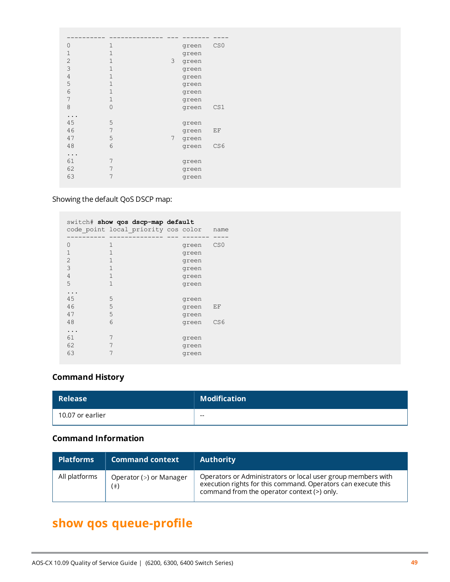| $\circ$  | 1            |                 | green | CS <sub>0</sub> |
|----------|--------------|-----------------|-------|-----------------|
| 1        | 1            |                 | green |                 |
| 2        | 1            | 3               | green |                 |
| 3        | 1            |                 | green |                 |
| 4        | $\mathbf{1}$ |                 | green |                 |
| 5        | 1            |                 | green |                 |
| 6        | 1            |                 | green |                 |
| 7        | 1            |                 | green |                 |
| 8        | $\mathbf 0$  |                 | green | CS1             |
| $\ddots$ |              |                 |       |                 |
| 45       | 5            |                 | green |                 |
| 46       | 7            |                 | green | ΕF              |
| 47       | 5            | $7\phantom{.0}$ | green |                 |
| 48       | 6            |                 | green | CS6             |
| $\ddots$ |              |                 |       |                 |
| 61       | 7            |                 | green |                 |
| 62       | 7            |                 | green |                 |
| 63       | 7            |                 | green |                 |

Showing the default QoS DSCP map:

|                      | switch# show gos dscp-map default<br>code point local priority cos color |                                  | name            |
|----------------------|--------------------------------------------------------------------------|----------------------------------|-----------------|
| $\bigcirc$           | 1                                                                        | green                            | CS <sub>0</sub> |
| $\mathbf{1}$         | 1                                                                        | green                            |                 |
| $\overline{2}$       | 1                                                                        | green                            |                 |
| 3                    | 1                                                                        | green                            |                 |
| 4                    | 1                                                                        | green                            |                 |
| 5                    | 1                                                                        | green                            |                 |
| 45<br>46<br>47<br>48 | 5<br>5<br>5<br>6                                                         | green<br>green<br>green<br>green | ΕF<br>CS6       |
| 61                   | 7                                                                        | green                            |                 |
| 62                   | 7                                                                        | green                            |                 |
| 63                   | 7                                                                        | green                            |                 |

### **Command History**

| <b>Release</b>   | <b>Modification</b> |
|------------------|---------------------|
| 10.07 or earlier | $- -$               |

### **Command Information**

| <b>Platforms</b> | <b>Command context</b>              | <b>Authority</b>                                                                                                                                                             |
|------------------|-------------------------------------|------------------------------------------------------------------------------------------------------------------------------------------------------------------------------|
| All platforms    | Operator (>) or Manager<br>$^{(*)}$ | Operators or Administrators or local user group members with<br>execution rights for this command. Operators can execute this<br>command from the operator context (>) only. |

# <span id="page-48-0"></span>**show qos queue-profile**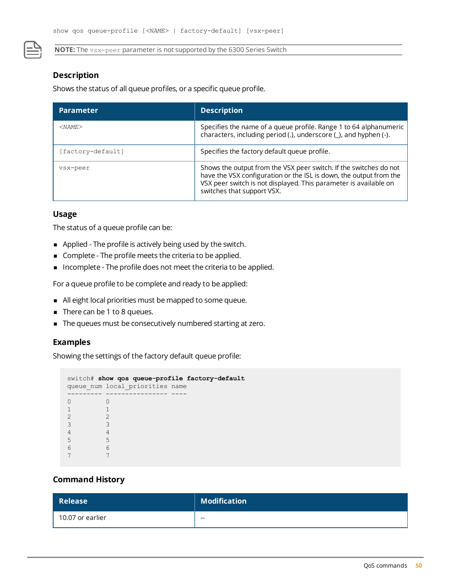**NOTE:** The vsx-peer parameter is not supported by the 6300 Series Switch

#### **Description**

Shows the status of all queue profiles, or a specific queue profile.

| <b>Parameter</b>  | <b>Description</b>                                                                                                                                                                                                                        |
|-------------------|-------------------------------------------------------------------------------------------------------------------------------------------------------------------------------------------------------------------------------------------|
| $<$ NAME $>$      | Specifies the name of a queue profile. Range 1 to 64 alphanumeric<br>characters, including period (.), underscore (_), and hyphen (-).                                                                                                    |
| [factory-default] | Specifies the factory default queue profile.                                                                                                                                                                                              |
| vsx-peer          | Shows the output from the VSX peer switch. If the switches do not<br>have the VSX configuration or the ISL is down, the output from the<br>VSX peer switch is not displayed. This parameter is available on<br>switches that support VSX. |

#### **Usage**

The status of a queue profile can be:

- <sup>n</sup> Applied The profile is actively being used by the switch.
- <sup>n</sup> Complete The profile meets the criteria to be applied.
- n Incomplete The profile does not meet the criteria to be applied.

For a queue profile to be complete and ready to be applied:

- <sup>n</sup> All eight local priorities must be mapped to some queue.
- $\blacksquare$  There can be 1 to 8 queues.
- $\blacksquare$  The queues must be consecutively numbered starting at zero.

#### **Examples**

Showing the settings of the factory default queue profile:

```
switch# show qos queue-profile factory-default
queue_num local_priorities name
--------- ---------------- ----
0 0
\begin{array}{ccc} 1 & \hspace{1.5cm} & 1 \\ 2 & \hspace{1.5cm} & 2 \end{array}\begin{array}{ccc} 2 & 2 \\ 3 & 3 \end{array}3 3
\begin{array}{ccc} 4 & 4 \\ 5 & 5 \end{array}5 5
6 6
7 7
```
#### **Command History**

| <b>Release</b>   | <b>Modification</b> |
|------------------|---------------------|
| 10.07 or earlier | $- -$               |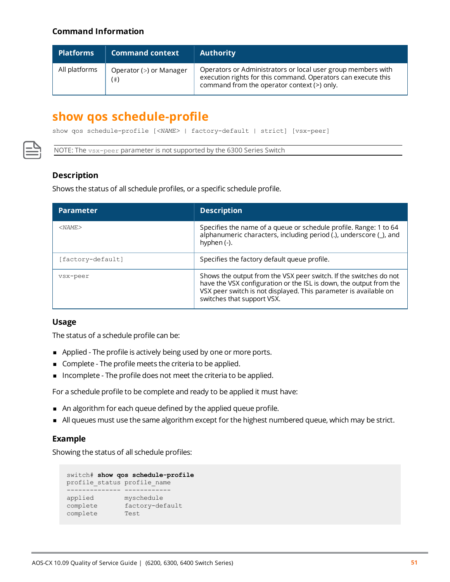#### **Command Information**

| <b>Platforms</b> | <b>Command context</b>           | <b>Authority</b>                                                                                                                                                             |
|------------------|----------------------------------|------------------------------------------------------------------------------------------------------------------------------------------------------------------------------|
| All platforms    | Operator (>) or Manager<br>$(*)$ | Operators or Administrators or local user group members with<br>execution rights for this command. Operators can execute this<br>command from the operator context (>) only. |

### <span id="page-50-0"></span>**show qos schedule-profile**

show qos schedule-profile [*<NAME>* | factory-default | strict] [vsx-peer]

NOTE: The vsx-peer parameter is not supported by the 6300 Series Switch

#### **Description**

Shows the status of all schedule profiles, or a specific schedule profile.

| <b>Parameter</b>  | <b>Description</b>                                                                                                                                                                                                                        |
|-------------------|-------------------------------------------------------------------------------------------------------------------------------------------------------------------------------------------------------------------------------------------|
| $<$ NAME $>$      | Specifies the name of a queue or schedule profile. Range: 1 to 64<br>alphanumeric characters, including period (.), underscore (_), and<br>hyphen $(-)$ .                                                                                 |
| [factory-default] | Specifies the factory default queue profile.                                                                                                                                                                                              |
| vsx-peer          | Shows the output from the VSX peer switch. If the switches do not<br>have the VSX configuration or the ISL is down, the output from the<br>VSX peer switch is not displayed. This parameter is available on<br>switches that support VSX. |

#### **Usage**

The status of a schedule profile can be:

- **n** Applied The profile is actively being used by one or more ports.
- <sup>n</sup> Complete The profile meets the criteria to be applied.
- **n** Incomplete The profile does not meet the criteria to be applied.

For a schedule profile to be complete and ready to be applied it must have:

- n An algorithm for each queue defined by the applied queue profile.
- <sup>n</sup> All queues must use the same algorithm except for the highest numbered queue, which may be strict.

#### **Example**

Showing the status of all schedule profiles:

```
switch# show qos schedule-profile
profile_status profile_name
-------------- ------------
applied myschedule
complete factory-default
complete Test
```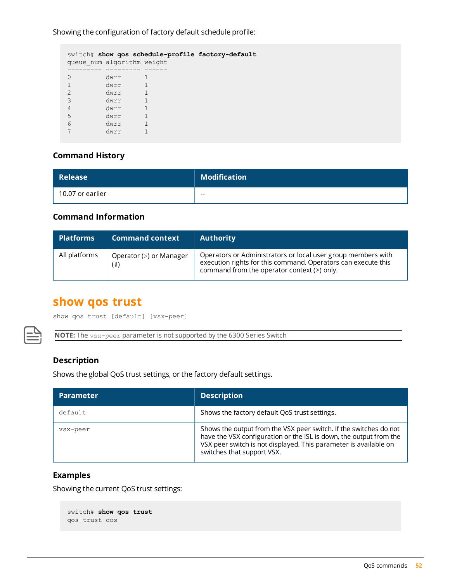Showing the configuration of factory default schedule profile:

|                |                            | switch# show gos schedule-profile factory-default |
|----------------|----------------------------|---------------------------------------------------|
|                | queue num algorithm weight |                                                   |
|                |                            |                                                   |
| $\bigcap$      | dwrr                       |                                                   |
|                | dwrr                       |                                                   |
| $\mathfrak{D}$ | dwrr                       |                                                   |
| 3              | dwrr                       |                                                   |
| 4              | dwrr                       |                                                   |
| 5              | dwrr                       |                                                   |
| 6              | dwrr                       |                                                   |
|                | dwrr                       |                                                   |

#### **Command History**

| <b>Release</b>   | $\mid$ Modification |
|------------------|---------------------|
| 10.07 or earlier | $- -$               |

#### **Command Information**

| <b>Platforms</b> | <b>Command context</b>            | <b>Authority</b>                                                                                                                                                             |
|------------------|-----------------------------------|------------------------------------------------------------------------------------------------------------------------------------------------------------------------------|
| All platforms    | Operator (>) or Manager<br>(  # ) | Operators or Administrators or local user group members with<br>execution rights for this command. Operators can execute this<br>command from the operator context (>) only. |

### <span id="page-51-0"></span>**show qos trust**

show qos trust [default] [vsx-peer]

**NOTE:** The vsx-peer parameter is not supported by the 6300 Series Switch

#### **Description**

Shows the global QoS trust settings, or the factory default settings.

| <b>Parameter</b> | <b>Description</b>                                                                                                                                                                                                                        |
|------------------|-------------------------------------------------------------------------------------------------------------------------------------------------------------------------------------------------------------------------------------------|
| default          | Shows the factory default QoS trust settings.                                                                                                                                                                                             |
| vsx-peer         | Shows the output from the VSX peer switch. If the switches do not<br>have the VSX configuration or the ISL is down, the output from the<br>VSX peer switch is not displayed. This parameter is available on<br>switches that support VSX. |

#### **Examples**

Showing the current QoS trust settings:

```
switch# show qos trust
qos trust cos
```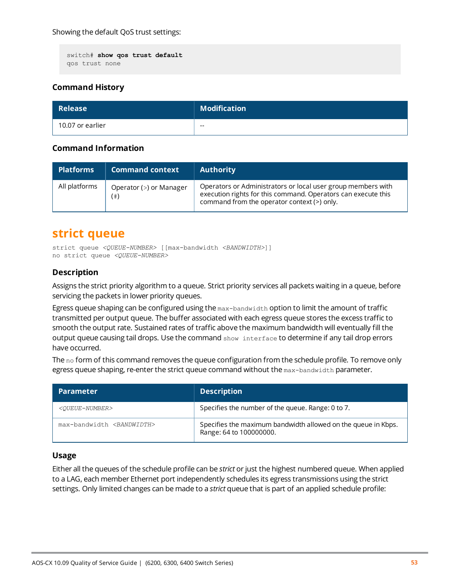```
switch# show qos trust default
qos trust none
```

| Release \        | <b>Modification</b> |
|------------------|---------------------|
| 10.07 or earlier | $- -$               |

#### **Command Information**

| <b>Platforms</b> | <b>Command context</b>         | <b>Authority</b>                                                                                                                                                             |
|------------------|--------------------------------|------------------------------------------------------------------------------------------------------------------------------------------------------------------------------|
| All platforms    | Operator (>) or Manager<br>(#) | Operators or Administrators or local user group members with<br>execution rights for this command. Operators can execute this<br>command from the operator context (>) only. |

### <span id="page-52-0"></span>**strict queue**

strict queue *<QUEUE-NUMBER>* [[max-bandwidth *<BANDWIDTH>*]] no strict queue *<QUEUE-NUMBER>*

#### **Description**

Assigns the strict priority algorithm to a queue. Strict priority services all packets waiting in a queue, before servicing the packets in lower priority queues.

Egress queue shaping can be configured using the  $max-bandwidth$  option to limit the amount of traffic transmitted per output queue. The buffer associated with each egress queue stores the excess traffic to smooth the output rate. Sustained rates of traffic above the maximum bandwidth will eventually fill the output queue causing tail drops. Use the command show interface to determine if any tail drop errors have occurred.

The  $no$  form of this command removes the queue configuration from the schedule profile. To remove only egress queue shaping, re-enter the strict queue command without the max-bandwidth parameter.

| <b>Parameter</b>                      | <b>Description</b>                                                                       |
|---------------------------------------|------------------------------------------------------------------------------------------|
| <oueue-number></oueue-number>         | Specifies the number of the queue. Range: 0 to 7.                                        |
| max-bandwidth <bandwidth></bandwidth> | Specifies the maximum bandwidth allowed on the queue in Kbps.<br>Range: 64 to 100000000. |

#### **Usage**

Either all the queues of the schedule profile can be *strict* or just the highest numbered queue. When applied to a LAG, each member Ethernet port independently schedules its egress transmissions using the strict settings. Only limited changes can be made to a *strict* queue that is part of an applied schedule profile: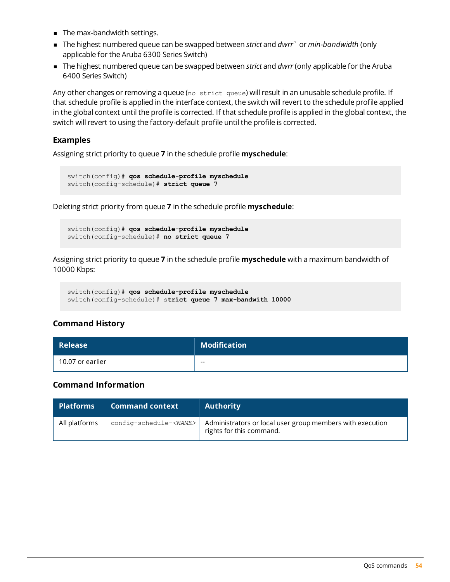- The max-bandwidth settings.
- <sup>n</sup> The highest numbered queue can be swapped between *strict* and *dwrr*` or *min-bandwidth* (only applicable for the Aruba 6300 Series Switch)
- <sup>n</sup> The highest numbered queue can be swapped between *strict* and *dwrr* (only applicable for the Aruba 6400 Series Switch)

Any other changes or removing a queue (no strict queue) will result in an unusable schedule profile. If that schedule profile is applied in the interface context, the switch will revert to the schedule profile applied in the global context until the profile is corrected. If that schedule profile is applied in the global context, the switch will revert to using the factory-default profile until the profile is corrected.

#### **Examples**

Assigning strict priority to queue **7** in the schedule profile **myschedule**:

```
switch(config)# qos schedule-profile myschedule
switch(config-schedule)# strict queue 7
```
Deleting strict priority from queue **7** in the schedule profile **myschedule**:

```
switch(config)# qos schedule-profile myschedule
switch(config-schedule)# no strict queue 7
```
Assigning strict priority to queue **7** in the schedule profile **myschedule** with a maximum bandwidth of 10000 Kbps:

```
switch(config)# qos schedule-profile myschedule
switch(config-schedule)# strict queue 7 max-bandwith 10000
```
#### **Command History**

| <b>Release</b>   | <b>Modification</b> |
|------------------|---------------------|
| 10.07 or earlier | $- -$               |

#### **Command Information**

| <b>Platforms</b> | <b>Command context</b> | <b>Authority</b>                                                                                                                      |
|------------------|------------------------|---------------------------------------------------------------------------------------------------------------------------------------|
| All platforms    |                        | $\text{config-schedule-}\xspace$ $\text{NAME}>$ Administrators or local user group members with execution<br>rights for this command. |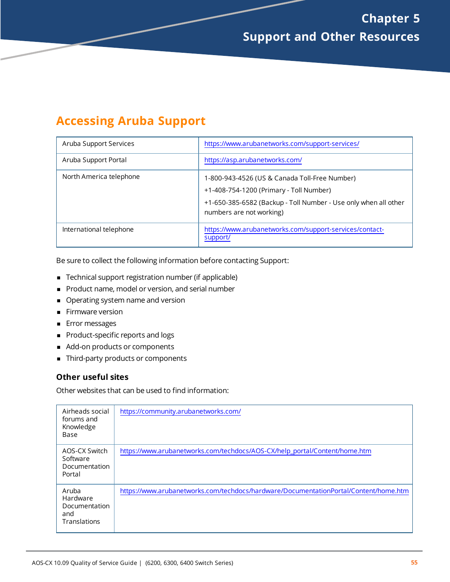# <span id="page-54-1"></span><span id="page-54-0"></span>**Accessing Aruba Support**

| Aruba Support Services  | https://www.arubanetworks.com/support-services/                                                                                                                                         |
|-------------------------|-----------------------------------------------------------------------------------------------------------------------------------------------------------------------------------------|
| Aruba Support Portal    | https://asp.arubanetworks.com/                                                                                                                                                          |
| North America telephone | 1-800-943-4526 (US & Canada Toll-Free Number)<br>+1-408-754-1200 (Primary - Toll Number)<br>+1-650-385-6582 (Backup - Toll Number - Use only when all other<br>numbers are not working) |
| International telephone | https://www.arubanetworks.com/support-services/contact-<br>support/                                                                                                                     |

Be sure to collect the following information before contacting Support:

- Technical support registration number (if applicable)
- **Product name, model or version, and serial number**
- **Operating system name and version**
- **Firmware version**
- **FIGM** Error messages
- Product-specific reports and logs
- Add-on products or components
- Third-party products or components

#### **Other useful sites**

Other websites that can be used to find information:

| Airheads social<br>forums and<br>Knowledge<br>Base        | https://community.arubanetworks.com/                                                 |
|-----------------------------------------------------------|--------------------------------------------------------------------------------------|
| AOS-CX Switch<br>Software<br>Documentation<br>Portal      | https://www.arubanetworks.com/techdocs/AOS-CX/help_portal/Content/home.htm           |
| Aruba<br>Hardware<br>Documentation<br>and<br>Translations | https://www.arubanetworks.com/techdocs/hardware/DocumentationPortal/Content/home.htm |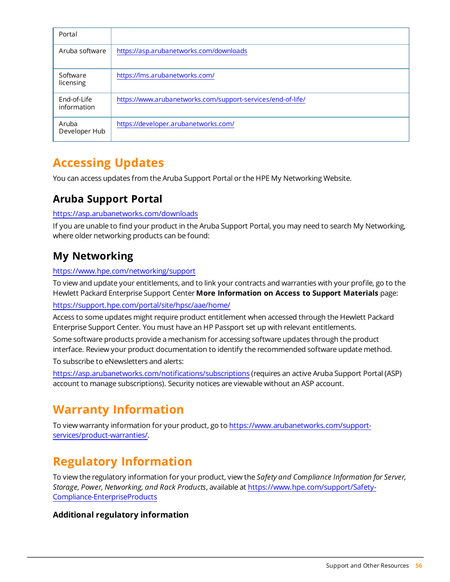| Portal                     |                                                             |
|----------------------------|-------------------------------------------------------------|
| Aruba software             | https://asp.arubanetworks.com/downloads                     |
| Software<br>licensing      | https://lms.arubanetworks.com/                              |
| End-of-Life<br>information | https://www.arubanetworks.com/support-services/end-of-life/ |
| Aruba<br>Developer Hub     | https://developer.arubanetworks.com/                        |

# <span id="page-55-0"></span>**Accessing Updates**

You can access updates from the Aruba Support Portal or the HPE My Networking Website.

### <span id="page-55-1"></span>**Aruba Support Portal**

#### <https://asp.arubanetworks.com/downloads>

If you are unable to find your product in the Aruba Support Portal, you may need to search My Networking, where older networking products can be found:

### <span id="page-55-2"></span>**My Networking**

#### <https://www.hpe.com/networking/support>

To view and update your entitlements, and to link your contracts and warranties with your profile, go to the Hewlett Packard Enterprise Support Center **More Information on Access to Support Materials** page:

<https://support.hpe.com/portal/site/hpsc/aae/home/>

Access to some updates might require product entitlement when accessed through the Hewlett Packard Enterprise Support Center. You must have an HP Passport set up with relevant entitlements.

Some software products provide a mechanism for accessing software updates through the product interface. Review your product documentation to identify the recommended software update method.

To subscribe to eNewsletters and alerts:

<https://asp.arubanetworks.com/notifications/subscriptions> (requires an active Aruba Support Portal (ASP) account to manage subscriptions). Security notices are viewable without an ASP account.

# <span id="page-55-3"></span>**Warranty Information**

To view warranty information for your product, go to [https://www.arubanetworks.com/support](https://www.arubanetworks.com/support-services/product-warranties/)[services/product-warranties/](https://www.arubanetworks.com/support-services/product-warranties/).

# <span id="page-55-4"></span>**Regulatory Information**

To view the regulatory information for your product, view the *Safety and Compliance Information for Server, Storage, Power, Networking, and Rack Products*, available at [https://www.hpe.com/support/Safety-](https://www.hpe.com/support/Safety-Compliance-EnterpriseProducts)[Compliance-EnterpriseProducts](https://www.hpe.com/support/Safety-Compliance-EnterpriseProducts)

#### **Additional regulatory information**